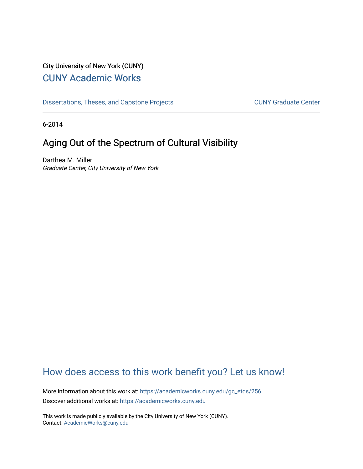# City University of New York (CUNY) [CUNY Academic Works](https://academicworks.cuny.edu/)

[Dissertations, Theses, and Capstone Projects](https://academicworks.cuny.edu/gc_etds) CUNY Graduate Center

6-2014

# Aging Out of the Spectrum of Cultural Visibility

Darthea M. Miller Graduate Center, City University of New York

# [How does access to this work benefit you? Let us know!](http://ols.cuny.edu/academicworks/?ref=https://academicworks.cuny.edu/gc_etds/256)

More information about this work at: [https://academicworks.cuny.edu/gc\\_etds/256](https://academicworks.cuny.edu/gc_etds/256)  Discover additional works at: [https://academicworks.cuny.edu](https://academicworks.cuny.edu/?)

This work is made publicly available by the City University of New York (CUNY). Contact: [AcademicWorks@cuny.edu](mailto:AcademicWorks@cuny.edu)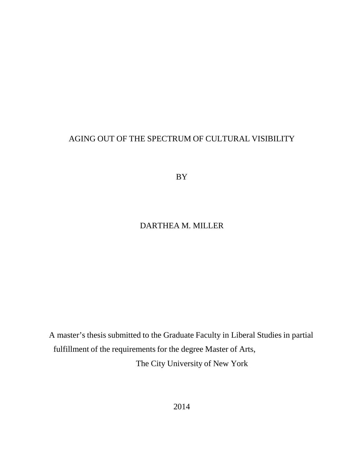## AGING OUT OF THE SPECTRUM OF CULTURAL VISIBILITY

BY

## DARTHEA M. MILLER

A master's thesis submitted to the Graduate Faculty in Liberal Studies in partial fulfillment of the requirements for the degree Master of Arts, The City University of New York

2014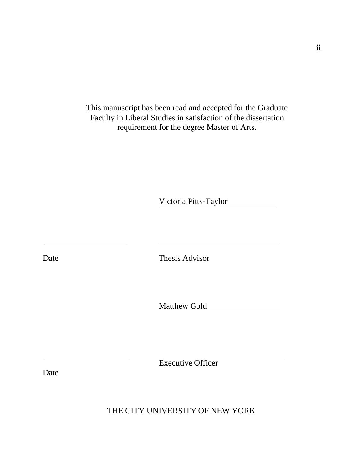This manuscript has been read and accepted for the Graduate Faculty in Liberal Studies in satisfaction of the dissertation requirement for the degree Master of Arts.

Victoria Pitts-Taylor

Date Thesis Advisor

Matthew Gold

Executive Officer

Date

THE CITY UNIVERSITY OF NEW YORK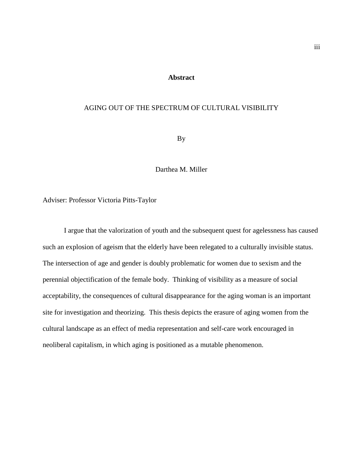### **Abstract**

#### AGING OUT OF THE SPECTRUM OF CULTURAL VISIBILITY

By

Darthea M. Miller

Adviser: Professor Victoria Pitts-Taylor

I argue that the valorization of youth and the subsequent quest for agelessness has caused such an explosion of ageism that the elderly have been relegated to a culturally invisible status. The intersection of age and gender is doubly problematic for women due to sexism and the perennial objectification of the female body. Thinking of visibility as a measure of social acceptability, the consequences of cultural disappearance for the aging woman is an important site for investigation and theorizing. This thesis depicts the erasure of aging women from the cultural landscape as an effect of media representation and self-care work encouraged in neoliberal capitalism, in which aging is positioned as a mutable phenomenon.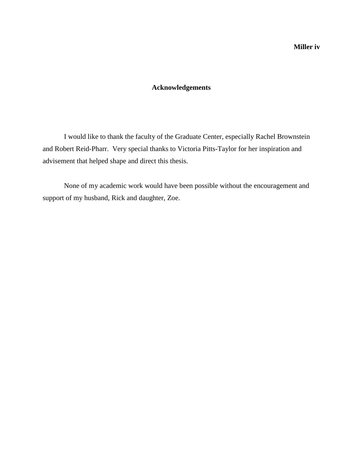### **Acknowledgements**

I would like to thank the faculty of the Graduate Center, especially Rachel Brownstein and Robert Reid-Pharr. Very special thanks to Victoria Pitts-Taylor for her inspiration and advisement that helped shape and direct this thesis.

None of my academic work would have been possible without the encouragement and support of my husband, Rick and daughter, Zoe.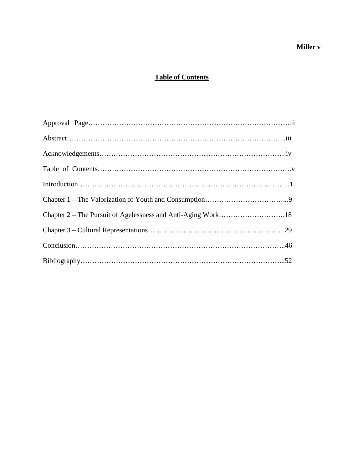## **Miller v**

## **Table of Contents**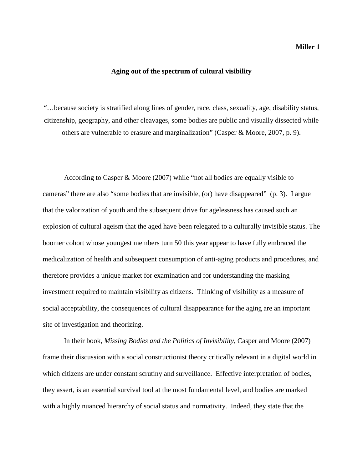#### **Aging out of the spectrum of cultural visibility**

"…because society is stratified along lines of gender, race, class, sexuality, age, disability status, citizenship, geography, and other cleavages, some bodies are public and visually dissected while others are vulnerable to erasure and marginalization" (Casper & Moore, 2007, p. 9).

According to Casper & Moore (2007) while "not all bodies are equally visible to cameras" there are also "some bodies that are invisible, (or) have disappeared" (p. 3). I argue that the valorization of youth and the subsequent drive for agelessness has caused such an explosion of cultural ageism that the aged have been relegated to a culturally invisible status. The boomer cohort whose youngest members turn 50 this year appear to have fully embraced the medicalization of health and subsequent consumption of anti-aging products and procedures, and therefore provides a unique market for examination and for understanding the masking investment required to maintain visibility as citizens. Thinking of visibility as a measure of social acceptability, the consequences of cultural disappearance for the aging are an important site of investigation and theorizing.

In their book, *Missing Bodies and the Politics of Invisibility*, Casper and Moore (2007) frame their discussion with a social constructionist theory critically relevant in a digital world in which citizens are under constant scrutiny and surveillance. Effective interpretation of bodies, they assert, is an essential survival tool at the most fundamental level, and bodies are marked with a highly nuanced hierarchy of social status and normativity. Indeed, they state that the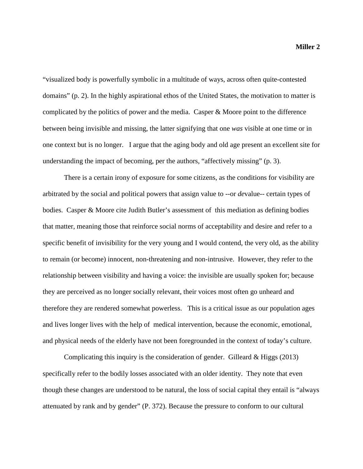"visualized body is powerfully symbolic in a multitude of ways, across often quite-contested domains" (p. 2). In the highly aspirational ethos of the United States, the motivation to matter is complicated by the politics of power and the media. Casper & Moore point to the difference between being invisible and missing, the latter signifying that one *was* visible at one time or in one context but is no longer. I argue that the aging body and old age present an excellent site for understanding the impact of becoming, per the authors, "affectively missing" (p. 3).

There is a certain irony of exposure for some citizens, as the conditions for visibility are arbitrated by the social and political powers that assign value to --or *de*value-- certain types of bodies. Casper & Moore cite Judith Butler's assessment of this mediation as defining bodies that matter, meaning those that reinforce social norms of acceptability and desire and refer to a specific benefit of invisibility for the very young and I would contend, the very old, as the ability to remain (or become) innocent, non-threatening and non-intrusive. However, they refer to the relationship between visibility and having a voice: the invisible are usually spoken for; because they are perceived as no longer socially relevant, their voices most often go unheard and therefore they are rendered somewhat powerless. This is a critical issue as our population ages and lives longer lives with the help of medical intervention, because the economic, emotional, and physical needs of the elderly have not been foregrounded in the context of today's culture.

Complicating this inquiry is the consideration of gender. Gilleard  $\&$  Higgs (2013) specifically refer to the bodily losses associated with an older identity. They note that even though these changes are understood to be natural, the loss of social capital they entail is "always attenuated by rank and by gender" (P. 372). Because the pressure to conform to our cultural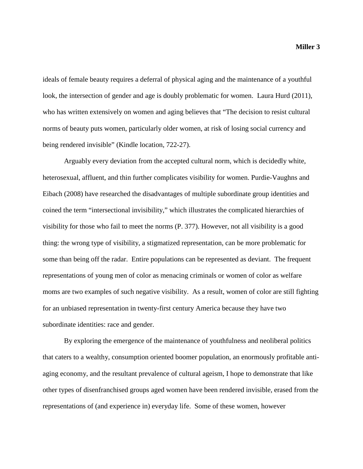ideals of female beauty requires a deferral of physical aging and the maintenance of a youthful look, the intersection of gender and age is doubly problematic for women. Laura Hurd (2011), who has written extensively on women and aging believes that "The decision to resist cultural norms of beauty puts women, particularly older women, at risk of losing social currency and being rendered invisible" (Kindle location, 722-27).

Arguably every deviation from the accepted cultural norm, which is decidedly white, heterosexual, affluent, and thin further complicates visibility for women. Purdie-Vaughns and Eibach (2008) have researched the disadvantages of multiple subordinate group identities and coined the term "intersectional invisibility," which illustrates the complicated hierarchies of visibility for those who fail to meet the norms (P. 377). However, not all visibility is a good thing: the wrong type of visibility, a stigmatized representation, can be more problematic for some than being off the radar. Entire populations can be represented as deviant. The frequent representations of young men of color as menacing criminals or women of color as welfare moms are two examples of such negative visibility. As a result, women of color are still fighting for an unbiased representation in twenty-first century America because they have two subordinate identities: race and gender.

By exploring the emergence of the maintenance of youthfulness and neoliberal politics that caters to a wealthy, consumption oriented boomer population, an enormously profitable antiaging economy, and the resultant prevalence of cultural ageism, I hope to demonstrate that like other types of disenfranchised groups aged women have been rendered invisible, erased from the representations of (and experience in) everyday life. Some of these women, however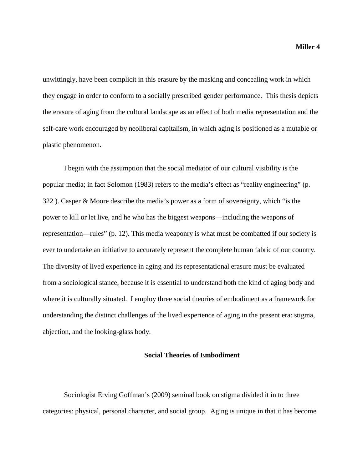unwittingly, have been complicit in this erasure by the masking and concealing work in which they engage in order to conform to a socially prescribed gender performance. This thesis depicts the erasure of aging from the cultural landscape as an effect of both media representation and the self-care work encouraged by neoliberal capitalism, in which aging is positioned as a mutable or plastic phenomenon.

I begin with the assumption that the social mediator of our cultural visibility is the popular media; in fact Solomon (1983) refers to the media's effect as "reality engineering" (p. 322 ). Casper & Moore describe the media's power as a form of sovereignty, which "is the power to kill or let live, and he who has the biggest weapons—including the weapons of representation—rules" (p. 12). This media weaponry is what must be combatted if our society is ever to undertake an initiative to accurately represent the complete human fabric of our country. The diversity of lived experience in aging and its representational erasure must be evaluated from a sociological stance, because it is essential to understand both the kind of aging body and where it is culturally situated. I employ three social theories of embodiment as a framework for understanding the distinct challenges of the lived experience of aging in the present era: stigma, abjection, and the looking-glass body.

#### **Social Theories of Embodiment**

Sociologist Erving Goffman's (2009) seminal book on stigma divided it in to three categories: physical, personal character, and social group. Aging is unique in that it has become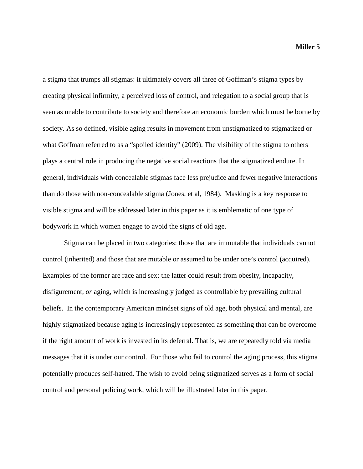a stigma that trumps all stigmas: it ultimately covers all three of Goffman's stigma types by creating physical infirmity, a perceived loss of control, and relegation to a social group that is seen as unable to contribute to society and therefore an economic burden which must be borne by society. As so defined, visible aging results in movement from unstigmatized to stigmatized or what Goffman referred to as a "spoiled identity" (2009). The visibility of the stigma to others plays a central role in producing the negative social reactions that the stigmatized endure. In general, individuals with concealable stigmas face less prejudice and fewer negative interactions than do those with non-concealable stigma (Jones, et al, 1984). Masking is a key response to visible stigma and will be addressed later in this paper as it is emblematic of one type of bodywork in which women engage to avoid the signs of old age.

Stigma can be placed in two categories: those that are immutable that individuals cannot control (inherited) and those that are mutable or assumed to be under one's control (acquired). Examples of the former are race and sex; the latter could result from obesity, incapacity, disfigurement, *or* aging, which is increasingly judged as controllable by prevailing cultural beliefs. In the contemporary American mindset signs of old age, both physical and mental, are highly stigmatized because aging is increasingly represented as something that can be overcome if the right amount of work is invested in its deferral. That is, we are repeatedly told via media messages that it is under our control. For those who fail to control the aging process, this stigma potentially produces self-hatred. The wish to avoid being stigmatized serves as a form of social control and personal policing work, which will be illustrated later in this paper.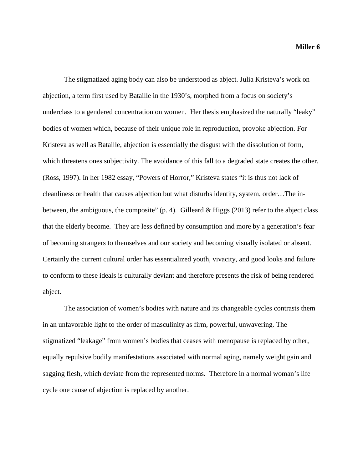The stigmatized aging body can also be understood as abject. Julia Kristeva's work on abjection, a term first used by Bataille in the 1930's, morphed from a focus on society's underclass to a gendered concentration on women. Her thesis emphasized the naturally "leaky" bodies of women which, because of their unique role in reproduction, provoke abjection. For Kristeva as well as Bataille, abjection is essentially the disgust with the dissolution of form, which threatens ones subjectivity. The avoidance of this fall to a degraded state creates the other. (Ross, 1997). In her 1982 essay, "Powers of Horror," Kristeva states "it is thus not lack of cleanliness or health that causes abjection but what disturbs identity, system, order…The inbetween, the ambiguous, the composite" (p. 4). Gilleard  $& Higgs$  (2013) refer to the abject class that the elderly become. They are less defined by consumption and more by a generation's fear of becoming strangers to themselves and our society and becoming visually isolated or absent. Certainly the current cultural order has essentialized youth, vivacity, and good looks and failure to conform to these ideals is culturally deviant and therefore presents the risk of being rendered abject.

The association of women's bodies with nature and its changeable cycles contrasts them in an unfavorable light to the order of masculinity as firm, powerful, unwavering. The stigmatized "leakage" from women's bodies that ceases with menopause is replaced by other, equally repulsive bodily manifestations associated with normal aging, namely weight gain and sagging flesh, which deviate from the represented norms. Therefore in a normal woman's life cycle one cause of abjection is replaced by another.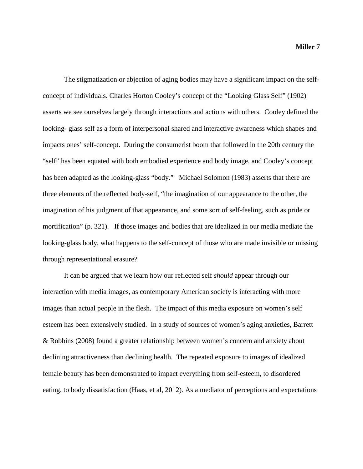The stigmatization or abjection of aging bodies may have a significant impact on the selfconcept of individuals. Charles Horton Cooley's concept of the "Looking Glass Self" (1902) asserts we see ourselves largely through interactions and actions with others. Cooley defined the looking- glass self as a form of interpersonal shared and interactive awareness which shapes and impacts ones' self-concept. During the consumerist boom that followed in the 20th century the "self" has been equated with both embodied experience and body image, and Cooley's concept has been adapted as the looking-glass "body." Michael Solomon (1983) asserts that there are three elements of the reflected body-self, "the imagination of our appearance to the other, the imagination of his judgment of that appearance, and some sort of self-feeling, such as pride or mortification" (p. 321). If those images and bodies that are idealized in our media mediate the looking-glass body, what happens to the self-concept of those who are made invisible or missing through representational erasure?

It can be argued that we learn how our reflected self *should* appear through our interaction with media images, as contemporary American society is interacting with more images than actual people in the flesh. The impact of this media exposure on women's self esteem has been extensively studied. In a study of sources of women's aging anxieties, Barrett & Robbins (2008) found a greater relationship between women's concern and anxiety about declining attractiveness than declining health. The repeated exposure to images of idealized female beauty has been demonstrated to impact everything from self-esteem, to disordered eating, to body dissatisfaction (Haas, et al, 2012). As a mediator of perceptions and expectations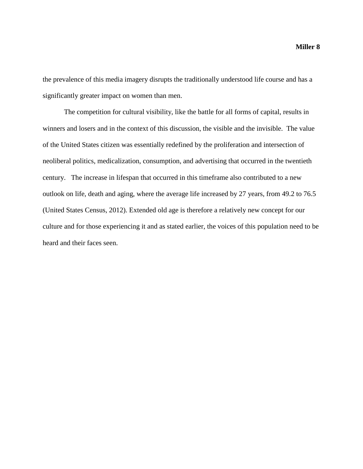the prevalence of this media imagery disrupts the traditionally understood life course and has a significantly greater impact on women than men.

The competition for cultural visibility, like the battle for all forms of capital, results in winners and losers and in the context of this discussion, the visible and the invisible. The value of the United States citizen was essentially redefined by the proliferation and intersection of neoliberal politics, medicalization, consumption, and advertising that occurred in the twentieth century. The increase in lifespan that occurred in this timeframe also contributed to a new outlook on life, death and aging, where the average life increased by 27 years, from 49.2 to 76.5 (United States Census, 2012). Extended old age is therefore a relatively new concept for our culture and for those experiencing it and as stated earlier, the voices of this population need to be heard and their faces seen.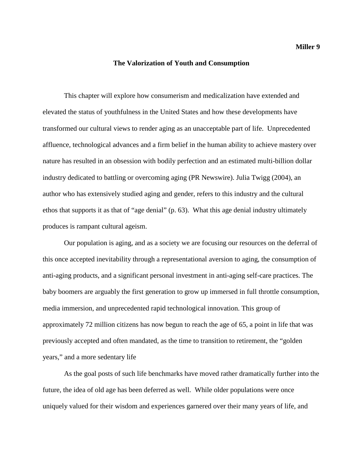#### **The Valorization of Youth and Consumption**

This chapter will explore how consumerism and medicalization have extended and elevated the status of youthfulness in the United States and how these developments have transformed our cultural views to render aging as an unacceptable part of life. Unprecedented affluence, technological advances and a firm belief in the human ability to achieve mastery over nature has resulted in an obsession with bodily perfection and an estimated multi-billion dollar industry dedicated to battling or overcoming aging (PR Newswire). Julia Twigg (2004), an author who has extensively studied aging and gender, refers to this industry and the cultural ethos that supports it as that of "age denial" (p. 63). What this age denial industry ultimately produces is rampant cultural ageism.

Our population is aging, and as a society we are focusing our resources on the deferral of this once accepted inevitability through a representational aversion to aging, the consumption of anti-aging products, and a significant personal investment in anti-aging self-care practices. The baby boomers are arguably the first generation to grow up immersed in full throttle consumption, media immersion, and unprecedented rapid technological innovation. This group of approximately 72 million citizens has now begun to reach the age of 65, a point in life that was previously accepted and often mandated, as the time to transition to retirement, the "golden years," and a more sedentary life

As the goal posts of such life benchmarks have moved rather dramatically further into the future, the idea of old age has been deferred as well. While older populations were once uniquely valued for their wisdom and experiences garnered over their many years of life, and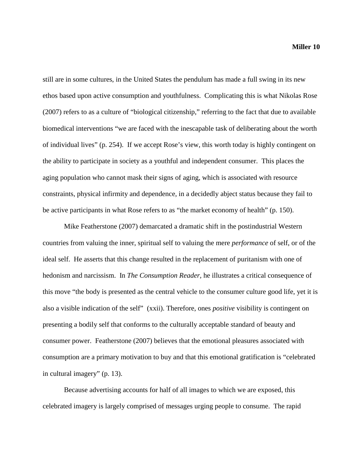still are in some cultures, in the United States the pendulum has made a full swing in its new ethos based upon active consumption and youthfulness. Complicating this is what Nikolas Rose (2007) refers to as a culture of "biological citizenship," referring to the fact that due to available biomedical interventions "we are faced with the inescapable task of deliberating about the worth of individual lives" (p. 254). If we accept Rose's view, this worth today is highly contingent on the ability to participate in society as a youthful and independent consumer. This places the aging population who cannot mask their signs of aging, which is associated with resource constraints, physical infirmity and dependence, in a decidedly abject status because they fail to be active participants in what Rose refers to as "the market economy of health" (p. 150).

Mike Featherstone (2007) demarcated a dramatic shift in the postindustrial Western countries from valuing the inner, spiritual self to valuing the mere *performance* of self, or of the ideal self. He asserts that this change resulted in the replacement of puritanism with one of hedonism and narcissism. In *The Consumption Reader,* he illustrates a critical consequence of this move "the body is presented as the central vehicle to the consumer culture good life, yet it is also a visible indication of the self" (xxii). Therefore, ones *positive* visibility is contingent on presenting a bodily self that conforms to the culturally acceptable standard of beauty and consumer power. Featherstone (2007) believes that the emotional pleasures associated with consumption are a primary motivation to buy and that this emotional gratification is "celebrated in cultural imagery" (p. 13).

Because advertising accounts for half of all images to which we are exposed, this celebrated imagery is largely comprised of messages urging people to consume. The rapid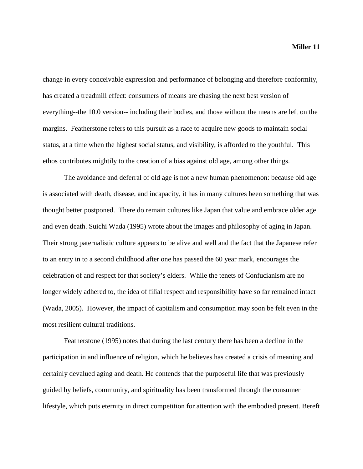change in every conceivable expression and performance of belonging and therefore conformity, has created a treadmill effect: consumers of means are chasing the next best version of everything--the 10.0 version-- including their bodies, and those without the means are left on the

margins. Featherstone refers to this pursuit as a race to acquire new goods to maintain social status, at a time when the highest social status, and visibility, is afforded to the youthful. This ethos contributes mightily to the creation of a bias against old age, among other things.

The avoidance and deferral of old age is not a new human phenomenon: because old age is associated with death, disease, and incapacity, it has in many cultures been something that was thought better postponed. There do remain cultures like Japan that value and embrace older age and even death. Suichi Wada (1995) wrote about the images and philosophy of aging in Japan. Their strong paternalistic culture appears to be alive and well and the fact that the Japanese refer to an entry in to a second childhood after one has passed the 60 year mark, encourages the celebration of and respect for that society's elders. While the tenets of Confucianism are no longer widely adhered to, the idea of filial respect and responsibility have so far remained intact (Wada, 2005). However, the impact of capitalism and consumption may soon be felt even in the most resilient cultural traditions.

Featherstone (1995) notes that during the last century there has been a decline in the participation in and influence of religion, which he believes has created a crisis of meaning and certainly devalued aging and death. He contends that the purposeful life that was previously guided by beliefs, community, and spirituality has been transformed through the consumer lifestyle, which puts eternity in direct competition for attention with the embodied present. Bereft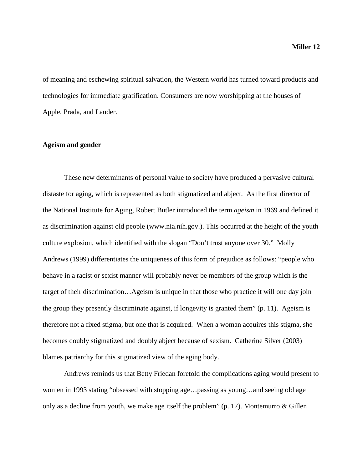of meaning and eschewing spiritual salvation, the Western world has turned toward products and technologies for immediate gratification. Consumers are now worshipping at the houses of Apple, Prada, and Lauder.

#### **Ageism and gender**

These new determinants of personal value to society have produced a pervasive cultural distaste for aging, which is represented as both stigmatized and abject. As the first director of the National Institute for Aging, Robert Butler introduced the term *ageism* in 1969 and defined it as discrimination against old people (www.nia.nih.gov.). This occurred at the height of the youth culture explosion, which identified with the slogan "Don't trust anyone over 30." Molly Andrews (1999) differentiates the uniqueness of this form of prejudice as follows: "people who behave in a racist or sexist manner will probably never be members of the group which is the target of their discrimination…Ageism is unique in that those who practice it will one day join the group they presently discriminate against, if longevity is granted them" (p. 11). Ageism is therefore not a fixed stigma, but one that is acquired. When a woman acquires this stigma, she becomes doubly stigmatized and doubly abject because of sexism. Catherine Silver (2003) blames patriarchy for this stigmatized view of the aging body.

Andrews reminds us that Betty Friedan foretold the complications aging would present to women in 1993 stating "obsessed with stopping age…passing as young…and seeing old age only as a decline from youth, we make age itself the problem" (p. 17). Montemurro & Gillen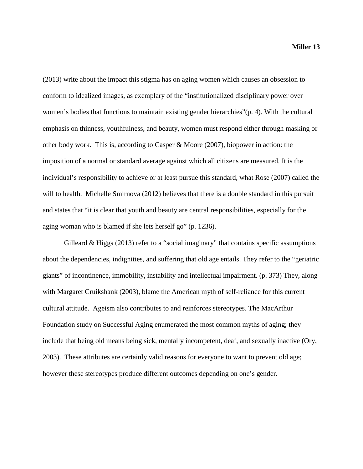(2013) write about the impact this stigma has on aging women which causes an obsession to conform to idealized images, as exemplary of the "institutionalized disciplinary power over women's bodies that functions to maintain existing gender hierarchies"(p. 4). With the cultural emphasis on thinness, youthfulness, and beauty, women must respond either through masking or other body work. This is, according to Casper & Moore (2007), biopower in action: the imposition of a normal or standard average against which all citizens are measured. It is the individual's responsibility to achieve or at least pursue this standard, what Rose (2007) called the will to health. Michelle Smirnova (2012) believes that there is a double standard in this pursuit and states that "it is clear that youth and beauty are central responsibilities, especially for the aging woman who is blamed if she lets herself go" (p. 1236).

Gilleard  $&$  Higgs (2013) refer to a "social imaginary" that contains specific assumptions about the dependencies, indignities, and suffering that old age entails. They refer to the "geriatric giants" of incontinence, immobility, instability and intellectual impairment. (p. 373) They, along with Margaret Cruikshank (2003), blame the American myth of self-reliance for this current cultural attitude. Ageism also contributes to and reinforces stereotypes. The MacArthur Foundation study on Successful Aging enumerated the most common myths of aging; they include that being old means being sick, mentally incompetent, deaf, and sexually inactive (Ory, 2003). These attributes are certainly valid reasons for everyone to want to prevent old age; however these stereotypes produce different outcomes depending on one's gender.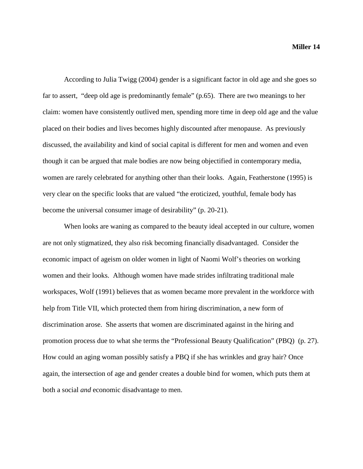According to Julia Twigg (2004) gender is a significant factor in old age and she goes so far to assert, "deep old age is predominantly female" (p.65). There are two meanings to her claim: women have consistently outlived men, spending more time in deep old age and the value placed on their bodies and lives becomes highly discounted after menopause. As previously discussed, the availability and kind of social capital is different for men and women and even though it can be argued that male bodies are now being objectified in contemporary media, women are rarely celebrated for anything other than their looks. Again, Featherstone (1995) is very clear on the specific looks that are valued "the eroticized, youthful, female body has become the universal consumer image of desirability" (p. 20-21).

When looks are waning as compared to the beauty ideal accepted in our culture, women are not only stigmatized, they also risk becoming financially disadvantaged. Consider the economic impact of ageism on older women in light of Naomi Wolf's theories on working women and their looks. Although women have made strides infiltrating traditional male workspaces, Wolf (1991) believes that as women became more prevalent in the workforce with help from Title VII, which protected them from hiring discrimination, a new form of discrimination arose. She asserts that women are discriminated against in the hiring and promotion process due to what she terms the "Professional Beauty Qualification" (PBQ) (p. 27). How could an aging woman possibly satisfy a PBQ if she has wrinkles and gray hair? Once again, the intersection of age and gender creates a double bind for women, which puts them at both a social *and* economic disadvantage to men.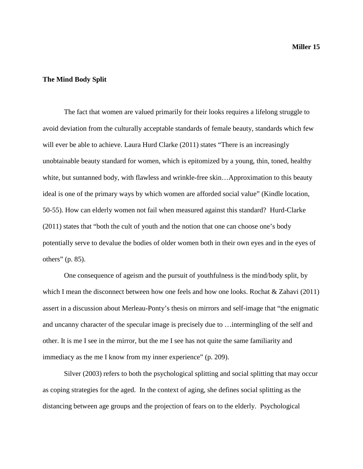#### **The Mind Body Split**

The fact that women are valued primarily for their looks requires a lifelong struggle to avoid deviation from the culturally acceptable standards of female beauty, standards which few will ever be able to achieve. Laura Hurd Clarke (2011) states "There is an increasingly unobtainable beauty standard for women, which is epitomized by a young, thin, toned, healthy white, but suntanned body, with flawless and wrinkle-free skin…Approximation to this beauty ideal is one of the primary ways by which women are afforded social value" (Kindle location, 50-55). How can elderly women not fail when measured against this standard? Hurd-Clarke (2011) states that "both the cult of youth and the notion that one can choose one's body potentially serve to devalue the bodies of older women both in their own eyes and in the eyes of others" (p. 85).

One consequence of ageism and the pursuit of youthfulness is the mind/body split, by which I mean the disconnect between how one feels and how one looks. Rochat & Zahavi (2011) assert in a discussion about Merleau-Ponty's thesis on mirrors and self-image that "the enigmatic and uncanny character of the specular image is precisely due to …intermingling of the self and other. It is me I see in the mirror, but the me I see has not quite the same familiarity and immediacy as the me I know from my inner experience" (p. 209).

Silver (2003) refers to both the psychological splitting and social splitting that may occur as coping strategies for the aged. In the context of aging, she defines social splitting as the distancing between age groups and the projection of fears on to the elderly. Psychological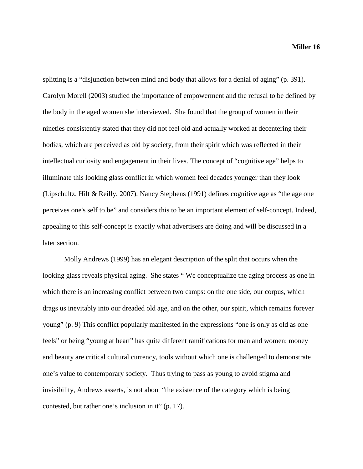splitting is a "disjunction between mind and body that allows for a denial of aging" (p. 391). Carolyn Morell (2003) studied the importance of empowerment and the refusal to be defined by the body in the aged women she interviewed. She found that the group of women in their nineties consistently stated that they did not feel old and actually worked at decentering their bodies, which are perceived as old by society, from their spirit which was reflected in their intellectual curiosity and engagement in their lives. The concept of "cognitive age" helps to illuminate this looking glass conflict in which women feel decades younger than they look (Lipschultz, Hilt & Reilly, 2007). Nancy Stephens (1991) defines cognitive age as "the age one perceives one's self to be" and considers this to be an important element of self-concept. Indeed, appealing to this self-concept is exactly what advertisers are doing and will be discussed in a later section.

Molly Andrews (1999) has an elegant description of the split that occurs when the looking glass reveals physical aging. She states " We conceptualize the aging process as one in which there is an increasing conflict between two camps: on the one side, our corpus, which drags us inevitably into our dreaded old age, and on the other, our spirit, which remains forever young" (p. 9) This conflict popularly manifested in the expressions "one is only as old as one feels" or being "young at heart" has quite different ramifications for men and women: money and beauty are critical cultural currency, tools without which one is challenged to demonstrate one's value to contemporary society. Thus trying to pass as young to avoid stigma and invisibility, Andrews asserts, is not about "the existence of the category which is being contested, but rather one's inclusion in it" (p. 17).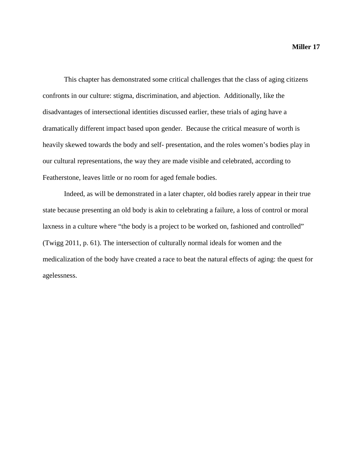This chapter has demonstrated some critical challenges that the class of aging citizens confronts in our culture: stigma, discrimination, and abjection. Additionally, like the disadvantages of intersectional identities discussed earlier, these trials of aging have a dramatically different impact based upon gender. Because the critical measure of worth is heavily skewed towards the body and self- presentation, and the roles women's bodies play in our cultural representations, the way they are made visible and celebrated, according to Featherstone, leaves little or no room for aged female bodies.

Indeed, as will be demonstrated in a later chapter, old bodies rarely appear in their true state because presenting an old body is akin to celebrating a failure, a loss of control or moral laxness in a culture where "the body is a project to be worked on, fashioned and controlled" (Twigg 2011, p. 61). The intersection of culturally normal ideals for women and the medicalization of the body have created a race to beat the natural effects of aging: the quest for agelessness.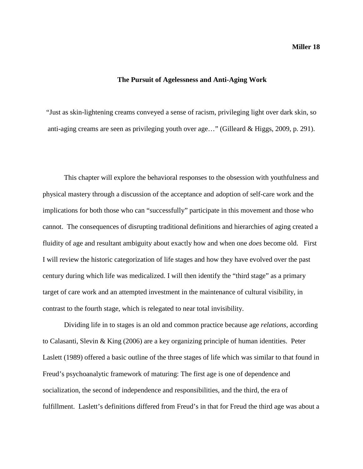#### **The Pursuit of Agelessness and Anti-Aging Work**

"Just as skin-lightening creams conveyed a sense of racism, privileging light over dark skin, so anti-aging creams are seen as privileging youth over age…" (Gilleard & Higgs, 2009, p. 291).

This chapter will explore the behavioral responses to the obsession with youthfulness and physical mastery through a discussion of the acceptance and adoption of self-care work and the implications for both those who can "successfully" participate in this movement and those who cannot. The consequences of disrupting traditional definitions and hierarchies of aging created a fluidity of age and resultant ambiguity about exactly how and when one *does* become old. First I will review the historic categorization of life stages and how they have evolved over the past century during which life was medicalized. I will then identify the "third stage" as a primary target of care work and an attempted investment in the maintenance of cultural visibility, in contrast to the fourth stage, which is relegated to near total invisibility.

Dividing life in to stages is an old and common practice because age *relations*, according to Calasanti, Slevin & King (2006) are a key organizing principle of human identities. Peter Laslett (1989) offered a basic outline of the three stages of life which was similar to that found in Freud's psychoanalytic framework of maturing: The first age is one of dependence and socialization, the second of independence and responsibilities, and the third, the era of fulfillment. Laslett's definitions differed from Freud's in that for Freud the third age was about a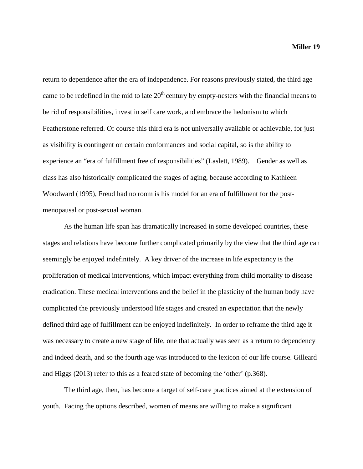return to dependence after the era of independence. For reasons previously stated, the third age came to be redefined in the mid to late  $20<sup>th</sup>$  century by empty-nesters with the financial means to be rid of responsibilities, invest in self care work, and embrace the hedonism to which Featherstone referred. Of course this third era is not universally available or achievable, for just as visibility is contingent on certain conformances and social capital, so is the ability to experience an "era of fulfillment free of responsibilities" (Laslett, 1989). Gender as well as class has also historically complicated the stages of aging, because according to Kathleen Woodward (1995), Freud had no room is his model for an era of fulfillment for the postmenopausal or post-sexual woman.

As the human life span has dramatically increased in some developed countries, these stages and relations have become further complicated primarily by the view that the third age can seemingly be enjoyed indefinitely. A key driver of the increase in life expectancy is the proliferation of medical interventions, which impact everything from child mortality to disease eradication. These medical interventions and the belief in the plasticity of the human body have complicated the previously understood life stages and created an expectation that the newly defined third age of fulfillment can be enjoyed indefinitely. In order to reframe the third age it was necessary to create a new stage of life, one that actually was seen as a return to dependency and indeed death, and so the fourth age was introduced to the lexicon of our life course. Gilleard and Higgs (2013) refer to this as a feared state of becoming the 'other' (p.368).

The third age, then, has become a target of self-care practices aimed at the extension of youth. Facing the options described, women of means are willing to make a significant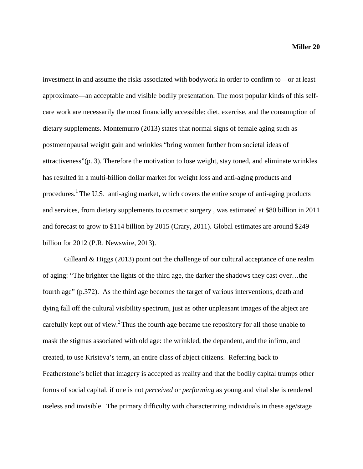investment in and assume the risks associated with bodywork in order to confirm to—or at least approximate—an acceptable and visible bodily presentation. The most popular kinds of this selfcare work are necessarily the most financially accessible: diet, exercise, and the consumption of dietary supplements. Montemurro (2013) states that normal signs of female aging such as postmenopausal weight gain and wrinkles "bring women further from societal ideas of attractiveness"(p. 3). Therefore the motivation to lose weight, stay toned, and eliminate wrinkles has resulted in a multi-billion dollar market for weight loss and anti-aging products and procedures.<sup>1</sup> The U.S. anti-aging market, which covers the entire scope of anti-aging products and services, from dietary supplements to cosmetic surgery , was estimated at \$80 billion in 2011 and forecast to grow to \$114 billion by 2015 (Crary, 2011). Global estimates are around \$249 billion for 2012 (P.R. Newswire, 2013).

Gilleard  $\&$  Higgs (2013) point out the challenge of our cultural acceptance of one realm of aging: "The brighter the lights of the third age, the darker the shadows they cast over…the fourth age" (p.372). As the third age becomes the target of various interventions, death and dying fall off the cultural visibility spectrum, just as other unpleasant images of the abject are carefully kept out of view.<sup>2</sup> Thus the fourth age became the repository for all those unable to mask the stigmas associated with old age: the wrinkled, the dependent, and the infirm, and created, to use Kristeva's term, an entire class of abject citizens. Referring back to Featherstone's belief that imagery is accepted as reality and that the bodily capital trumps other forms of social capital, if one is not *perceived* or *performing* as young and vital she is rendered useless and invisible. The primary difficulty with characterizing individuals in these age/stage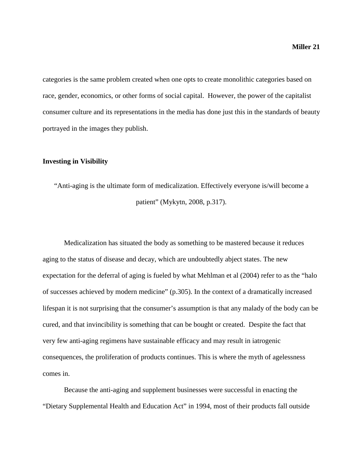categories is the same problem created when one opts to create monolithic categories based on race, gender, economics, or other forms of social capital. However, the power of the capitalist consumer culture and its representations in the media has done just this in the standards of beauty portrayed in the images they publish.

#### **Investing in Visibility**

"Anti-aging is the ultimate form of medicalization. Effectively everyone is/will become a patient" (Mykytn, 2008, p.317).

Medicalization has situated the body as something to be mastered because it reduces aging to the status of disease and decay, which are undoubtedly abject states. The new expectation for the deferral of aging is fueled by what Mehlman et al (2004) refer to as the "halo of successes achieved by modern medicine" (p.305). In the context of a dramatically increased lifespan it is not surprising that the consumer's assumption is that any malady of the body can be cured, and that invincibility is something that can be bought or created. Despite the fact that very few anti-aging regimens have sustainable efficacy and may result in iatrogenic consequences, the proliferation of products continues. This is where the myth of agelessness comes in.

Because the anti-aging and supplement businesses were successful in enacting the "Dietary Supplemental Health and Education Act" in 1994, most of their products fall outside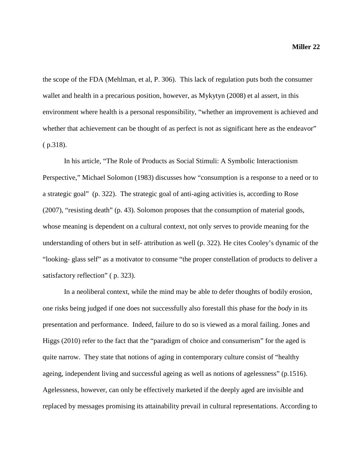the scope of the FDA (Mehlman, et al, P. 306). This lack of regulation puts both the consumer wallet and health in a precarious position, however, as Mykytyn (2008) et al assert, in this environment where health is a personal responsibility, "whether an improvement is achieved and whether that achievement can be thought of as perfect is not as significant here as the endeavor" ( p.318).

In his article, "The Role of Products as Social Stimuli: A Symbolic Interactionism Perspective," Michael Solomon (1983) discusses how "consumption is a response to a need or to a strategic goal" (p. 322). The strategic goal of anti-aging activities is, according to Rose (2007), "resisting death" (p. 43). Solomon proposes that the consumption of material goods, whose meaning is dependent on a cultural context, not only serves to provide meaning for the understanding of others but in self- attribution as well (p. 322). He cites Cooley's dynamic of the "looking- glass self" as a motivator to consume "the proper constellation of products to deliver a satisfactory reflection" (p. 323).

In a neoliberal context, while the mind may be able to defer thoughts of bodily erosion, one risks being judged if one does not successfully also forestall this phase for the *body* in its presentation and performance. Indeed, failure to do so is viewed as a moral failing. Jones and Higgs (2010) refer to the fact that the "paradigm of choice and consumerism" for the aged is quite narrow. They state that notions of aging in contemporary culture consist of "healthy ageing, independent living and successful ageing as well as notions of agelessness" (p.1516). Agelessness, however, can only be effectively marketed if the deeply aged are invisible and replaced by messages promising its attainability prevail in cultural representations. According to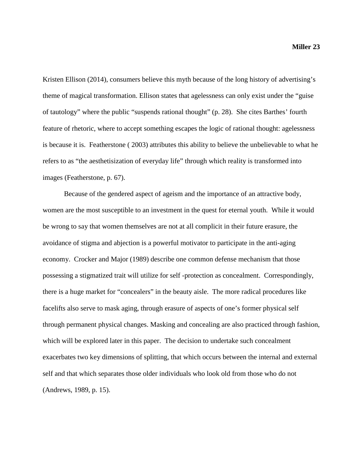Kristen Ellison (2014), consumers believe this myth because of the long history of advertising's theme of magical transformation. Ellison states that agelessness can only exist under the "guise of tautology" where the public "suspends rational thought" (p. 28). She cites Barthes' fourth feature of rhetoric, where to accept something escapes the logic of rational thought: agelessness is because it is. Featherstone ( 2003) attributes this ability to believe the unbelievable to what he refers to as "the aesthetisization of everyday life" through which reality is transformed into images (Featherstone, p. 67).

Because of the gendered aspect of ageism and the importance of an attractive body, women are the most susceptible to an investment in the quest for eternal youth. While it would be wrong to say that women themselves are not at all complicit in their future erasure, the avoidance of stigma and abjection is a powerful motivator to participate in the anti-aging economy. Crocker and Major (1989) describe one common defense mechanism that those possessing a stigmatized trait will utilize for self -protection as concealment. Correspondingly, there is a huge market for "concealers" in the beauty aisle. The more radical procedures like facelifts also serve to mask aging, through erasure of aspects of one's former physical self through permanent physical changes. Masking and concealing are also practiced through fashion, which will be explored later in this paper. The decision to undertake such concealment exacerbates two key dimensions of splitting, that which occurs between the internal and external self and that which separates those older individuals who look old from those who do not (Andrews, 1989, p. 15).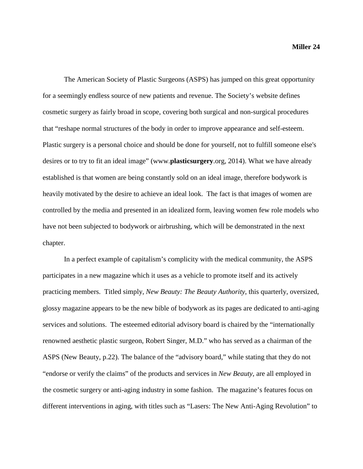The American Society of Plastic Surgeons (ASPS) has jumped on this great opportunity for a seemingly endless source of new patients and revenue. The Society's website defines cosmetic surgery as fairly broad in scope, covering both surgical and non-surgical procedures that "reshape normal structures of the body in order to improve appearance and self-esteem. Plastic surgery is a personal choice and should be done for yourself, not to fulfill someone else's desires or to try to fit an ideal image" (www.**[plasticsurgery](http://www.plasticsurgery.org/)**.org, 2014). What we have already established is that women are being constantly sold on an ideal image, therefore bodywork is heavily motivated by the desire to achieve an ideal look. The fact is that images of women are controlled by the media and presented in an idealized form, leaving women few role models who have not been subjected to bodywork or airbrushing, which will be demonstrated in the next chapter.

In a perfect example of capitalism's complicity with the medical community, the ASPS participates in a new magazine which it uses as a vehicle to promote itself and its actively practicing members. Titled simply, *New Beauty: The Beauty Authority*, this quarterly, oversized, glossy magazine appears to be the new bible of bodywork as its pages are dedicated to anti-aging services and solutions. The esteemed editorial advisory board is chaired by the "internationally renowned aesthetic plastic surgeon, Robert Singer, M.D." who has served as a chairman of the ASPS (New Beauty, p.22). The balance of the "advisory board," while stating that they do not "endorse or verify the claims" of the products and services in *New Beauty*, are all employed in the cosmetic surgery or anti-aging industry in some fashion. The magazine's features focus on different interventions in aging, with titles such as "Lasers: The New Anti-Aging Revolution" to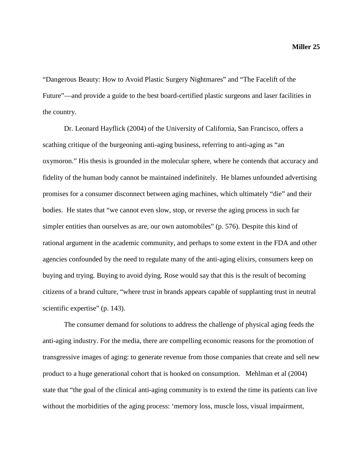"Dangerous Beauty: How to Avoid Plastic Surgery Nightmares" and "The Facelift of the Future"—and provide a guide to the best board-certified plastic surgeons and laser facilities in the country.

Dr. Leonard Hayflick (2004) of the University of California, San Francisco, offers a scathing critique of the burgeoning anti-aging business, referring to anti-aging as "an oxymoron." His thesis is grounded in the molecular sphere, where he contends that accuracy and fidelity of the human body cannot be maintained indefinitely. He blames unfounded advertising promises for a consumer disconnect between aging machines, which ultimately "die" and their bodies. He states that "we cannot even slow, stop, or reverse the aging process in such far simpler entities than ourselves as are, our own automobiles" (p. 576). Despite this kind of rational argument in the academic community, and perhaps to some extent in the FDA and other agencies confounded by the need to regulate many of the anti-aging elixirs, consumers keep on buying and trying. Buying to avoid dying. Rose would say that this is the result of becoming citizens of a brand culture, "where trust in brands appears capable of supplanting trust in neutral scientific expertise" (p. 143).

The consumer demand for solutions to address the challenge of physical aging feeds the anti-aging industry. For the media, there are compelling economic reasons for the promotion of transgressive images of aging: to generate revenue from those companies that create and sell new product to a huge generational cohort that is hooked on consumption. Mehlman et al (2004) state that "the goal of the clinical anti-aging community is to extend the time its patients can live without the morbidities of the aging process: 'memory loss, muscle loss, visual impairment,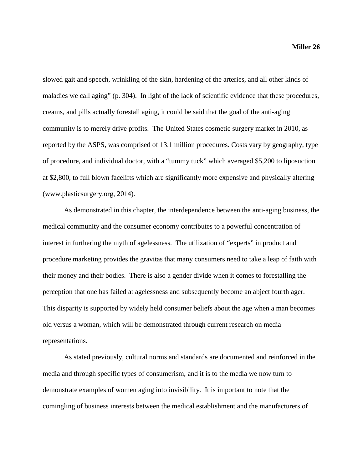slowed gait and speech, wrinkling of the skin, hardening of the arteries, and all other kinds of maladies we call aging" (p. 304). In light of the lack of scientific evidence that these procedures, creams, and pills actually forestall aging, it could be said that the goal of the anti-aging community is to merely drive profits. The United States cosmetic surgery market in 2010, as reported by the ASPS, was comprised of 13.1 million procedures. Costs vary by geography, type of procedure, and individual doctor, with a "tummy tuck" which averaged \$5,200 to liposuction at \$2,800, to full blown facelifts which are significantly more expensive and physically altering [\(www.plasticsurgery.org,](http://www.plasticsurgery.org/) 2014).

As demonstrated in this chapter, the interdependence between the anti-aging business, the medical community and the consumer economy contributes to a powerful concentration of interest in furthering the myth of agelessness. The utilization of "experts" in product and procedure marketing provides the gravitas that many consumers need to take a leap of faith with their money and their bodies. There is also a gender divide when it comes to forestalling the perception that one has failed at agelessness and subsequently become an abject fourth ager. This disparity is supported by widely held consumer beliefs about the age when a man becomes old versus a woman, which will be demonstrated through current research on media representations.

As stated previously, cultural norms and standards are documented and reinforced in the media and through specific types of consumerism, and it is to the media we now turn to demonstrate examples of women aging into invisibility. It is important to note that the comingling of business interests between the medical establishment and the manufacturers of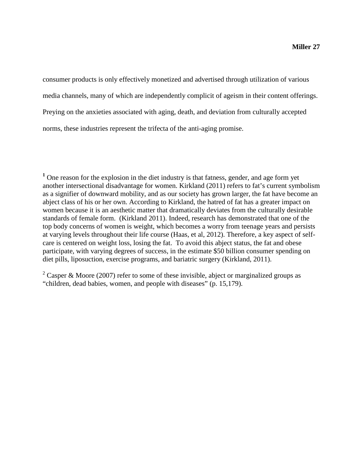consumer products is only effectively monetized and advertised through utilization of various media channels, many of which are independently complicit of ageism in their content offerings. Preying on the anxieties associated with aging, death, and deviation from culturally accepted norms, these industries represent the trifecta of the anti-aging promise.

<sup>1</sup> One reason for the explosion in the diet industry is that fatness, gender, and age form yet another intersectional disadvantage for women. Kirkland (2011) refers to fat's current symbolism as a signifier of downward mobility, and as our society has grown larger, the fat have become an abject class of his or her own. According to Kirkland, the hatred of fat has a greater impact on women because it is an aesthetic matter that dramatically deviates from the culturally desirable standards of female form. (Kirkland 2011). Indeed, research has demonstrated that one of the top body concerns of women is weight, which becomes a worry from teenage years and persists at varying levels throughout their life course (Haas, et al, 2012). Therefore, a key aspect of selfcare is centered on weight loss, losing the fat. To avoid this abject status, the fat and obese participate, with varying degrees of success, in the estimate \$50 billion consumer spending on diet pills, liposuction, exercise programs, and bariatric surgery (Kirkland, 2011).

<sup>2</sup> Casper & Moore (2007) refer to some of these invisible, abject or marginalized groups as "children, dead babies, women, and people with diseases" (p. 15,179).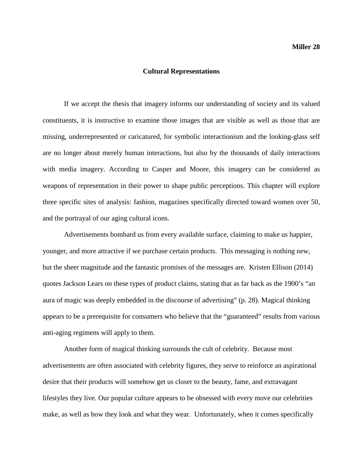#### **Cultural Representations**

If we accept the thesis that imagery informs our understanding of society and its valued constituents, it is instructive to examine those images that are visible as well as those that are missing, underrepresented or caricatured, for symbolic interactionism and the looking-glass self are no longer about merely human interactions, but also by the thousands of daily interactions with media imagery. According to Casper and Moore, this imagery can be considered as weapons of representation in their power to shape public perceptions. This chapter will explore three specific sites of analysis: fashion, magazines specifically directed toward women over 50, and the portrayal of our aging cultural icons.

Advertisements bombard us from every available surface, claiming to make us happier, younger, and more attractive if we purchase certain products. This messaging is nothing new, but the sheer magnitude and the fantastic promises of the messages are. Kristen Ellison (2014) quotes Jackson Lears on these types of product claims, stating that as far back as the 1900's "an aura of magic was deeply embedded in the discourse of advertising" (p. 28). Magical thinking appears to be a prerequisite for consumers who believe that the "guaranteed" results from various anti-aging regimens will apply to them.

Another form of magical thinking surrounds the cult of celebrity. Because most advertisements are often associated with celebrity figures, they serve to reinforce an aspirational desire that their products will somehow get us closer to the beauty, fame, and extravagant lifestyles they live. Our popular culture appears to be obsessed with every move our celebrities make, as well as how they look and what they wear. Unfortunately, when it comes specifically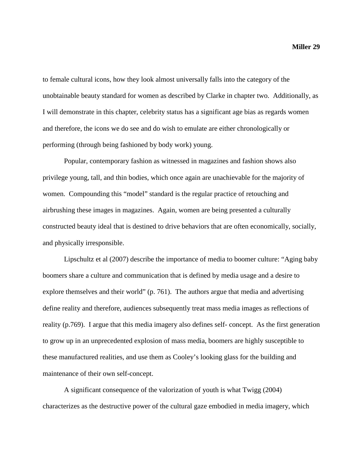to female cultural icons, how they look almost universally falls into the category of the unobtainable beauty standard for women as described by Clarke in chapter two. Additionally, as I will demonstrate in this chapter, celebrity status has a significant age bias as regards women and therefore, the icons we do see and do wish to emulate are either chronologically or performing (through being fashioned by body work) young.

Popular, contemporary fashion as witnessed in magazines and fashion shows also privilege young, tall, and thin bodies, which once again are unachievable for the majority of women. Compounding this "model" standard is the regular practice of retouching and airbrushing these images in magazines. Again, women are being presented a culturally constructed beauty ideal that is destined to drive behaviors that are often economically, socially, and physically irresponsible.

Lipschultz et al (2007) describe the importance of media to boomer culture: "Aging baby boomers share a culture and communication that is defined by media usage and a desire to explore themselves and their world" (p. 761). The authors argue that media and advertising define reality and therefore, audiences subsequently treat mass media images as reflections of reality (p.769). I argue that this media imagery also defines self- concept. As the first generation to grow up in an unprecedented explosion of mass media, boomers are highly susceptible to these manufactured realities, and use them as Cooley's looking glass for the building and maintenance of their own self-concept.

A significant consequence of the valorization of youth is what Twigg (2004) characterizes as the destructive power of the cultural gaze embodied in media imagery, which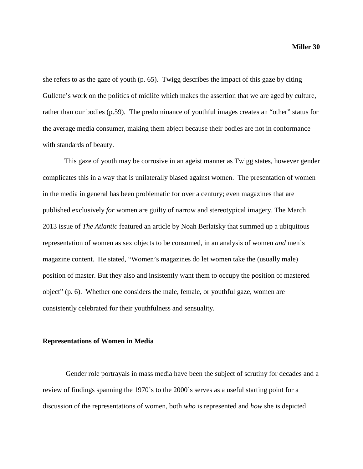she refers to as the gaze of youth (p. 65). Twigg describes the impact of this gaze by citing Gullette's work on the politics of midlife which makes the assertion that we are aged by culture, rather than our bodies (p.59). The predominance of youthful images creates an "other" status for the average media consumer, making them abject because their bodies are not in conformance with standards of beauty.

This gaze of youth may be corrosive in an ageist manner as Twigg states, however gender complicates this in a way that is unilaterally biased against women. The presentation of women in the media in general has been problematic for over a century; even magazines that are published exclusively *for* women are guilty of narrow and stereotypical imagery. The March 2013 issue of *The Atlantic* featured an article by Noah Berlatsky that summed up a ubiquitous representation of women as sex objects to be consumed, in an analysis of women *and* men's magazine content. He stated, "Women's magazines do let women take the (usually male) position of master. But they also and insistently want them to occupy the position of mastered object" (p. 6). Whether one considers the male, female, or youthful gaze, women are consistently celebrated for their youthfulness and sensuality.

#### **Representations of Women in Media**

Gender role portrayals in mass media have been the subject of scrutiny for decades and a review of findings spanning the 1970's to the 2000's serves as a useful starting point for a discussion of the representations of women, both *who* is represented and *how* she is depicted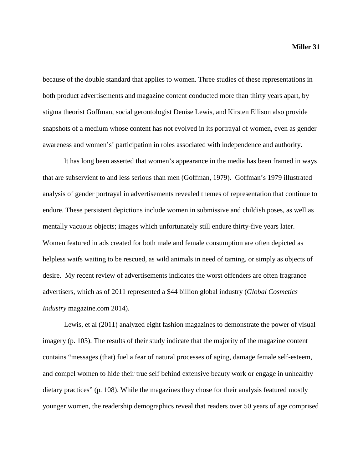because of the double standard that applies to women. Three studies of these representations in both product advertisements and magazine content conducted more than thirty years apart, by stigma theorist Goffman, social gerontologist Denise Lewis, and Kirsten Ellison also provide snapshots of a medium whose content has not evolved in its portrayal of women, even as gender awareness and women's' participation in roles associated with independence and authority.

It has long been asserted that women's appearance in the media has been framed in ways that are subservient to and less serious than men (Goffman, 1979). Goffman's 1979 illustrated analysis of gender portrayal in advertisements revealed themes of representation that continue to endure. These persistent depictions include women in submissive and childish poses, as well as mentally vacuous objects; images which unfortunately still endure thirty-five years later. Women featured in ads created for both male and female consumption are often depicted as helpless waifs waiting to be rescued, as wild animals in need of taming, or simply as objects of desire. My recent review of advertisements indicates the worst offenders are often fragrance advertisers, which as of 2011 represented a \$44 billion global industry (*Global Cosmetics Industry* magazine.com 2014).

Lewis, et al (2011) analyzed eight fashion magazines to demonstrate the power of visual imagery (p. 103). The results of their study indicate that the majority of the magazine content contains "messages (that) fuel a fear of natural processes of aging, damage female self-esteem, and compel women to hide their true self behind extensive beauty work or engage in unhealthy dietary practices" (p. 108). While the magazines they chose for their analysis featured mostly younger women, the readership demographics reveal that readers over 50 years of age comprised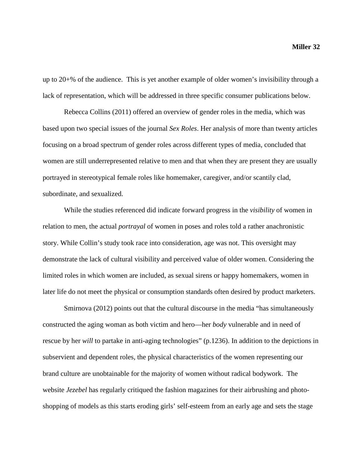up to 20+% of the audience. This is yet another example of older women's invisibility through a lack of representation, which will be addressed in three specific consumer publications below.

Rebecca Collins (2011) offered an overview of gender roles in the media, which was based upon two special issues of the journal *Sex Roles*. Her analysis of more than twenty articles focusing on a broad spectrum of gender roles across different types of media, concluded that women are still underrepresented relative to men and that when they are present they are usually portrayed in stereotypical female roles like homemaker, caregiver, and/or scantily clad, subordinate, and sexualized.

While the studies referenced did indicate forward progress in the *visibility* of women in relation to men, the actual *portrayal* of women in poses and roles told a rather anachronistic story. While Collin's study took race into consideration, age was not. This oversight may demonstrate the lack of cultural visibility and perceived value of older women. Considering the limited roles in which women are included, as sexual sirens or happy homemakers, women in later life do not meet the physical or consumption standards often desired by product marketers.

Smirnova (2012) points out that the cultural discourse in the media "has simultaneously constructed the aging woman as both victim and hero—her *body* vulnerable and in need of rescue by her *will* to partake in anti-aging technologies" (p.1236). In addition to the depictions in subservient and dependent roles, the physical characteristics of the women representing our brand culture are unobtainable for the majority of women without radical bodywork. The website *Jezebel* has regularly critiqued the fashion magazines for their airbrushing and photoshopping of models as this starts eroding girls' self-esteem from an early age and sets the stage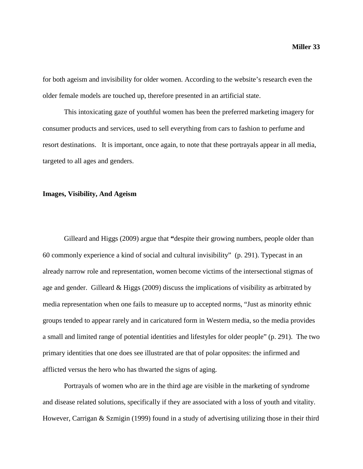for both ageism and invisibility for older women. According to the website's research even the older female models are touched up, therefore presented in an artificial state.

This intoxicating gaze of youthful women has been the preferred marketing imagery for consumer products and services, used to sell everything from cars to fashion to perfume and resort destinations. It is important, once again, to note that these portrayals appear in all media, targeted to all ages and genders.

### **Images, Visibility, And Ageism**

Gilleard and Higgs (2009) argue that **"**despite their growing numbers, people older than 60 commonly experience a kind of social and cultural invisibility" (p. 291). Typecast in an already narrow role and representation, women become victims of the intersectional stigmas of age and gender. Gilleard & Higgs (2009) discuss the implications of visibility as arbitrated by media representation when one fails to measure up to accepted norms, "Just as minority ethnic groups tended to appear rarely and in caricatured form in Western media, so the media provides a small and limited range of potential identities and lifestyles for older people" (p. 291). The two primary identities that one does see illustrated are that of polar opposites: the infirmed and afflicted versus the hero who has thwarted the signs of aging.

Portrayals of women who are in the third age are visible in the marketing of syndrome and disease related solutions, specifically if they are associated with a loss of youth and vitality. However, Carrigan & Szmigin (1999) found in a study of advertising utilizing those in their third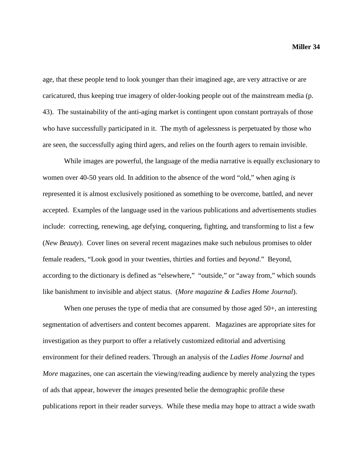age, that these people tend to look younger than their imagined age, are very attractive or are caricatured, thus keeping true imagery of older-looking people out of the mainstream media (p. 43). The sustainability of the anti-aging market is contingent upon constant portrayals of those who have successfully participated in it. The myth of agelessness is perpetuated by those who are seen, the successfully aging third agers, and relies on the fourth agers to remain invisible.

While images are powerful, the language of the media narrative is equally exclusionary to women over 40-50 years old. In addition to the absence of the word "old," when aging *is* represented it is almost exclusively positioned as something to be overcome, battled, and never accepted. Examples of the language used in the various publications and advertisements studies include: correcting, renewing, age defying, conquering, fighting, and transforming to list a few (*New Beauty*). Cover lines on several recent magazines make such nebulous promises to older female readers, "Look good in your twenties, thirties and forties and *beyond*." Beyond, according to the dictionary is defined as "elsewhere," "outside," or "away from," which sounds like banishment to invisible and abject status. (*More magazine & Ladies Home Journal*).

When one peruses the type of media that are consumed by those aged 50+, an interesting segmentation of advertisers and content becomes apparent. Magazines are appropriate sites for investigation as they purport to offer a relatively customized editorial and advertising environment for their defined readers. Through an analysis of the *Ladies Home Journal* and *More* magazines, one can ascertain the viewing/reading audience by merely analyzing the types of ads that appear, however the *images* presented belie the demographic profile these publications report in their reader surveys. While these media may hope to attract a wide swath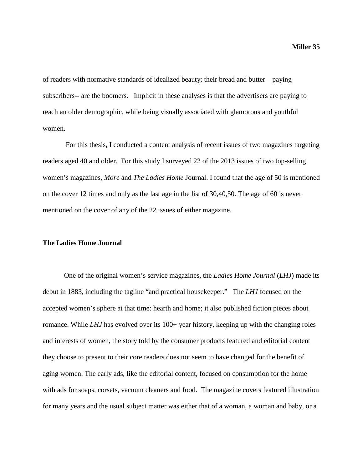of readers with normative standards of idealized beauty; their bread and butter—paying subscribers-- are the boomers. Implicit in these analyses is that the advertisers are paying to reach an older demographic, while being visually associated with glamorous and youthful women.

For this thesis, I conducted a content analysis of recent issues of two magazines targeting readers aged 40 and older. For this study I surveyed 22 of the 2013 issues of two top-selling women's magazines, *More* and *The Ladies Home* Journal. I found that the age of 50 is mentioned on the cover 12 times and only as the last age in the list of 30,40,50. The age of 60 is never mentioned on the cover of any of the 22 issues of either magazine.

#### **The Ladies Home Journal**

One of the original women's service magazines, the *Ladies Home Journal* (*LHJ*) made its debut in 1883, including the tagline "and practical housekeeper." The *LHJ* focused on the accepted women's sphere at that time: hearth and home; it also published fiction pieces about romance. While *LHJ* has evolved over its 100+ year history, keeping up with the changing roles and interests of women, the story told by the consumer products featured and editorial content they choose to present to their core readers does not seem to have changed for the benefit of aging women. The early ads, like the editorial content, focused on consumption for the home with ads for soaps, corsets, vacuum cleaners and food. The magazine covers featured illustration for many years and the usual subject matter was either that of a woman, a woman and baby, or a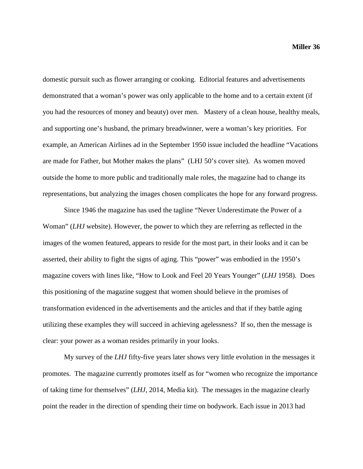domestic pursuit such as flower arranging or cooking. Editorial features and advertisements demonstrated that a woman's power was only applicable to the home and to a certain extent (if you had the resources of money and beauty) over men. Mastery of a clean house, healthy meals, and supporting one's husband, the primary breadwinner, were a woman's key priorities. For example, an American Airlines ad in the September 1950 issue included the headline "Vacations are made for Father, but Mother makes the plans" (LHJ 50's cover site). As women moved outside the home to more public and traditionally male roles, the magazine had to change its representations, but analyzing the images chosen complicates the hope for any forward progress.

Since 1946 the magazine has used the tagline "Never Underestimate the Power of a Woman" (*LHJ* website). However, the power to which they are referring as reflected in the images of the women featured, appears to reside for the most part, in their looks and it can be asserted, their ability to fight the signs of aging. This "power" was embodied in the 1950's magazine covers with lines like, "How to Look and Feel 20 Years Younger" (*LHJ* 1958). Does this positioning of the magazine suggest that women should believe in the promises of transformation evidenced in the advertisements and the articles and that if they battle aging utilizing these examples they will succeed in achieving agelessness? If so, then the message is clear: your power as a woman resides primarily in your looks.

My survey of the *LHJ* fifty-five years later shows very little evolution in the messages it promotes.The magazine currently promotes itself as for "women who recognize the importance of taking time for themselves" (*LHJ,* 2014, Media kit). The messages in the magazine clearly point the reader in the direction of spending their time on bodywork. Each issue in 2013 had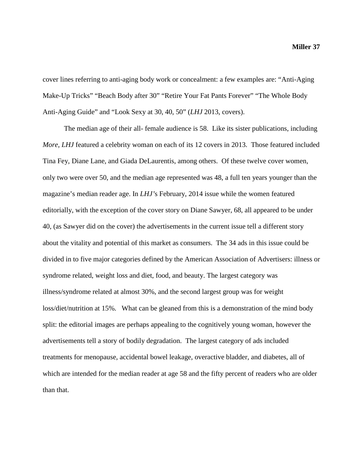cover lines referring to anti-aging body work or concealment: a few examples are: "Anti-Aging Make-Up Tricks" "Beach Body after 30" "Retire Your Fat Pants Forever" "The Whole Body Anti-Aging Guide" and "Look Sexy at 30, 40, 50" (*LHJ* 2013, covers).

The median age of their all- female audience is 58. Like its sister publications, including *More*, *LHJ* featured a celebrity woman on each of its 12 covers in 2013. Those featured included Tina Fey, Diane Lane, and Giada DeLaurentis, among others. Of these twelve cover women, only two were over 50, and the median age represented was 48, a full ten years younger than the magazine's median reader age. In *LHJ'*s February, 2014 issue while the women featured editorially, with the exception of the cover story on Diane Sawyer, 68, all appeared to be under 40, (as Sawyer did on the cover) the advertisements in the current issue tell a different story about the vitality and potential of this market as consumers. The 34 ads in this issue could be divided in to five major categories defined by the American Association of Advertisers: illness or syndrome related, weight loss and diet, food, and beauty. The largest category was illness/syndrome related at almost 30%, and the second largest group was for weight loss/diet/nutrition at 15%. What can be gleaned from this is a demonstration of the mind body split: the editorial images are perhaps appealing to the cognitively young woman, however the advertisements tell a story of bodily degradation. The largest category of ads included treatments for menopause, accidental bowel leakage, overactive bladder, and diabetes, all of which are intended for the median reader at age 58 and the fifty percent of readers who are older than that.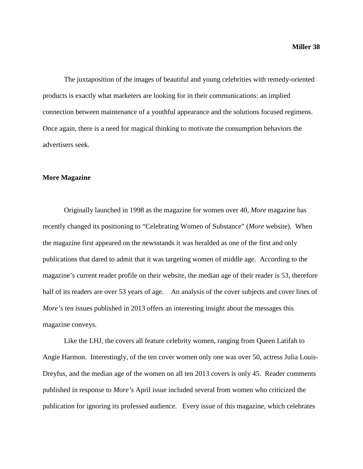The juxtaposition of the images of beautiful and young celebrities with remedy-oriented products is exactly what marketers are looking for in their communications: an implied connection between maintenance of a youthful appearance and the solutions focused regimens. Once again, there is a need for magical thinking to motivate the consumption behaviors the advertisers seek.

#### **More Magazine**

Originally launched in 1998 as the magazine for women over 40, *More* magazine has recently changed its positioning to "Celebrating Women of Substance" (*More* website). When the magazine first appeared on the newsstands it was heralded as one of the first and only publications that dared to admit that it was targeting women of middle age. According to the magazine's current reader profile on their website, the median age of their reader is 53, therefore half of its readers are over 53 years of age. An analysis of the cover subjects and cover lines of *More's* ten issues published in 2013 offers an interesting insight about the messages this magazine conveys.

Like the LHJ, the covers all feature celebrity women, ranging from Queen Latifah to Angie Harmon. Interestingly, of the ten cover women only one was over 50, actress Julia Louis-Dreyfus, and the median age of the women on all ten 2013 covers is only 45. Reader comments published in response to *More's* April issue included several from women who criticized the publication for ignoring its professed audience. Every issue of this magazine, which celebrates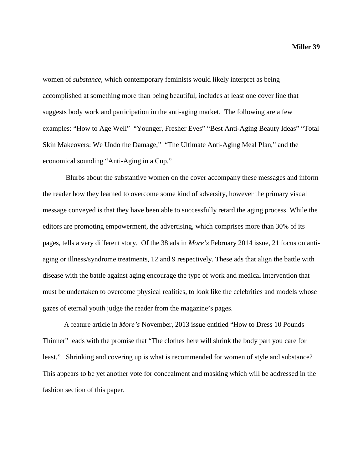women of *substance*, which contemporary feminists would likely interpret as being accomplished at something more than being beautiful, includes at least one cover line that suggests body work and participation in the anti-aging market. The following are a few examples: "How to Age Well" "Younger, Fresher Eyes" "Best Anti-Aging Beauty Ideas" "Total Skin Makeovers: We Undo the Damage," "The Ultimate Anti-Aging Meal Plan," and the economical sounding "Anti-Aging in a Cup."

Blurbs about the substantive women on the cover accompany these messages and inform the reader how they learned to overcome some kind of adversity, however the primary visual message conveyed is that they have been able to successfully retard the aging process. While the editors are promoting empowerment, the advertising, which comprises more than 30% of its pages, tells a very different story. Of the 38 ads in *More's* February 2014 issue, 21 focus on antiaging or illness/syndrome treatments, 12 and 9 respectively. These ads that align the battle with disease with the battle against aging encourage the type of work and medical intervention that must be undertaken to overcome physical realities, to look like the celebrities and models whose gazes of eternal youth judge the reader from the magazine's pages.

A feature article in *More's* November, 2013 issue entitled "How to Dress 10 Pounds Thinner" leads with the promise that "The clothes here will shrink the body part you care for least." Shrinking and covering up is what is recommended for women of style and substance? This appears to be yet another vote for concealment and masking which will be addressed in the fashion section of this paper.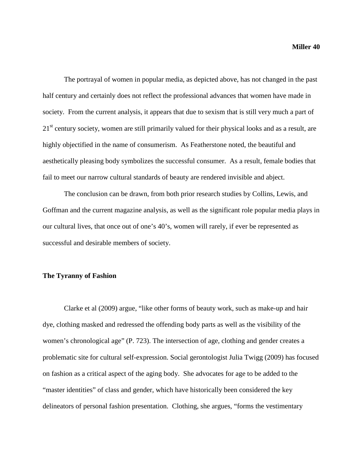The portrayal of women in popular media, as depicted above, has not changed in the past half century and certainly does not reflect the professional advances that women have made in society. From the current analysis, it appears that due to sexism that is still very much a part of 21<sup>st</sup> century society, women are still primarily valued for their physical looks and as a result, are highly objectified in the name of consumerism. As Featherstone noted, the beautiful and aesthetically pleasing body symbolizes the successful consumer. As a result, female bodies that fail to meet our narrow cultural standards of beauty are rendered invisible and abject.

The conclusion can be drawn, from both prior research studies by Collins, Lewis, and Goffman and the current magazine analysis, as well as the significant role popular media plays in our cultural lives, that once out of one's 40's, women will rarely, if ever be represented as successful and desirable members of society.

#### **The Tyranny of Fashion**

Clarke et al (2009) argue, "like other forms of beauty work, such as make-up and hair dye, clothing masked and redressed the offending body parts as well as the visibility of the women's chronological age" (P. 723). The intersection of age, clothing and gender creates a problematic site for cultural self-expression. Social gerontologist Julia Twigg (2009) has focused on fashion as a critical aspect of the aging body. She advocates for age to be added to the "master identities" of class and gender, which have historically been considered the key delineators of personal fashion presentation. Clothing, she argues, "forms the vestimentary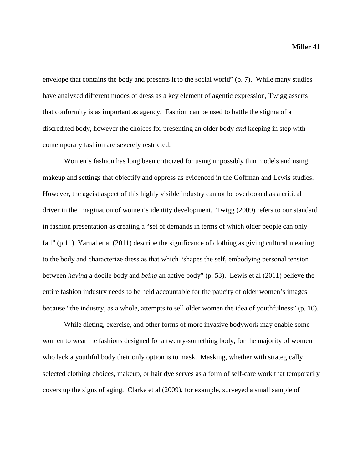envelope that contains the body and presents it to the social world" (p. 7). While many studies have analyzed different modes of dress as a key element of agentic expression, Twigg asserts that conformity is as important as agency. Fashion can be used to battle the stigma of a discredited body, however the choices for presenting an older body *and* keeping in step with contemporary fashion are severely restricted.

Women's fashion has long been criticized for using impossibly thin models and using makeup and settings that objectify and oppress as evidenced in the Goffman and Lewis studies. However, the ageist aspect of this highly visible industry cannot be overlooked as a critical driver in the imagination of women's identity development. Twigg (2009) refers to our standard in fashion presentation as creating a "set of demands in terms of which older people can only fail" (p.11). Yarnal et al (2011) describe the significance of clothing as giving cultural meaning to the body and characterize dress as that which "shapes the self, embodying personal tension between *having* a docile body and *being* an active body" (p. 53). Lewis et al (2011) believe the entire fashion industry needs to be held accountable for the paucity of older women's images because "the industry, as a whole, attempts to sell older women the idea of youthfulness" (p. 10).

While dieting, exercise, and other forms of more invasive bodywork may enable some women to wear the fashions designed for a twenty-something body, for the majority of women who lack a youthful body their only option is to mask. Masking, whether with strategically selected clothing choices, makeup, or hair dye serves as a form of self-care work that temporarily covers up the signs of aging. Clarke et al (2009), for example, surveyed a small sample of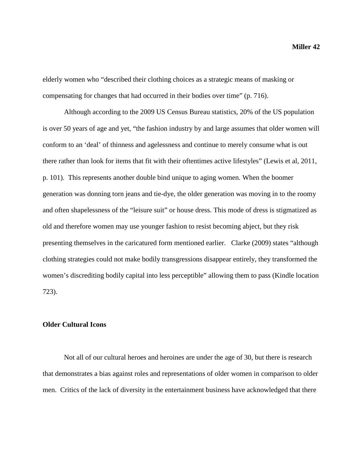elderly women who "described their clothing choices as a strategic means of masking or compensating for changes that had occurred in their bodies over time" (p. 716).

Although according to the 2009 US Census Bureau statistics, 20% of the US population is over 50 years of age and yet, "the fashion industry by and large assumes that older women will conform to an 'deal' of thinness and agelessness and continue to merely consume what is out there rather than look for items that fit with their oftentimes active lifestyles" (Lewis et al, 2011, p. 101). This represents another double bind unique to aging women. When the boomer generation was donning torn jeans and tie-dye, the older generation was moving in to the roomy and often shapelessness of the "leisure suit" or house dress. This mode of dress is stigmatized as old and therefore women may use younger fashion to resist becoming abject, but they risk presenting themselves in the caricatured form mentioned earlier. Clarke (2009) states "although clothing strategies could not make bodily transgressions disappear entirely, they transformed the women's discrediting bodily capital into less perceptible" allowing them to pass (Kindle location 723).

#### **Older Cultural Icons**

Not all of our cultural heroes and heroines are under the age of 30, but there is research that demonstrates a bias against roles and representations of older women in comparison to older men. Critics of the lack of diversity in the entertainment business have acknowledged that there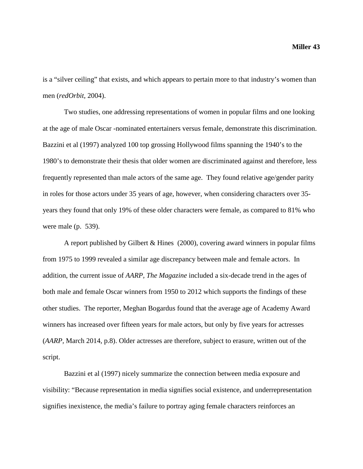is a "silver ceiling" that exists, and which appears to pertain more to that industry's women than men (*redOrbit*, 2004).

Two studies, one addressing representations of women in popular films and one looking at the age of male Oscar -nominated entertainers versus female, demonstrate this discrimination. Bazzini et al (1997) analyzed 100 top grossing Hollywood films spanning the 1940's to the 1980's to demonstrate their thesis that older women are discriminated against and therefore, less frequently represented than male actors of the same age. They found relative age/gender parity in roles for those actors under 35 years of age, however, when considering characters over 35 years they found that only 19% of these older characters were female, as compared to 81% who were male (p. 539).

A report published by Gilbert & Hines (2000), covering award winners in popular films from 1975 to 1999 revealed a similar age discrepancy between male and female actors. In addition, the current issue of *AARP, The Magazine* included a six-decade trend in the ages of both male and female Oscar winners from 1950 to 2012 which supports the findings of these other studies. The reporter, Meghan Bogardus found that the average age of Academy Award winners has increased over fifteen years for male actors, but only by five years for actresses (*AARP,* March 2014*,* p.8). Older actresses are therefore, subject to erasure, written out of the script.

Bazzini et al (1997) nicely summarize the connection between media exposure and visibility: "Because representation in media signifies social existence, and underrepresentation signifies inexistence, the media's failure to portray aging female characters reinforces an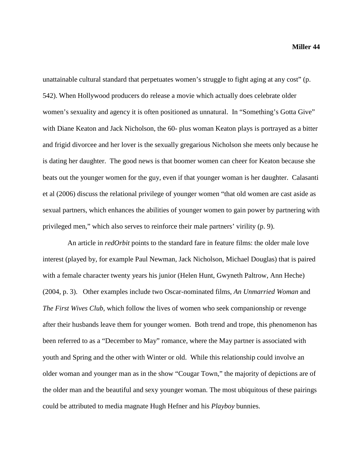unattainable cultural standard that perpetuates women's struggle to fight aging at any cost" (p. 542). When Hollywood producers do release a movie which actually does celebrate older women's sexuality and agency it is often positioned as unnatural. In "Something's Gotta Give" with Diane Keaton and Jack Nicholson, the 60- plus woman Keaton plays is portrayed as a bitter and frigid divorcee and her lover is the sexually gregarious Nicholson she meets only because he is dating her daughter. The good news is that boomer women can cheer for Keaton because she beats out the younger women for the guy, even if that younger woman is her daughter. Calasanti et al (2006) discuss the relational privilege of younger women "that old women are cast aside as sexual partners, which enhances the abilities of younger women to gain power by partnering with privileged men," which also serves to reinforce their male partners' virility (p. 9).

 An article in *redOrbit* points to the standard fare in feature films: the older male love interest (played by, for example Paul Newman, Jack Nicholson, Michael Douglas) that is paired with a female character twenty years his junior (Helen Hunt, Gwyneth Paltrow, Ann Heche) (2004, p. 3). Other examples include two Oscar-nominated films, *An Unmarried Woman* and *The First Wives Club,* which follow the lives of women who seek companionship or revenge after their husbands leave them for younger women. Both trend and trope, this phenomenon has been referred to as a "December to May" romance, where the May partner is associated with youth and Spring and the other with Winter or old. While this relationship could involve an older woman and younger man as in the show "Cougar Town," the majority of depictions are of the older man and the beautiful and sexy younger woman. The most ubiquitous of these pairings could be attributed to media magnate Hugh Hefner and his *Playboy* bunnies.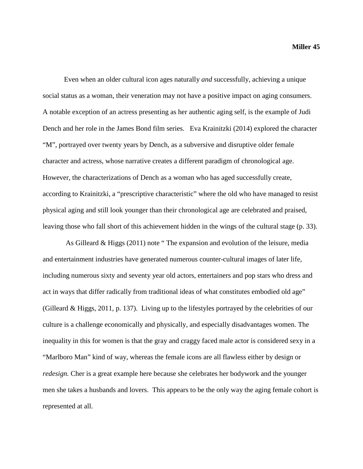Even when an older cultural icon ages naturally *and* successfully, achieving a unique social status as a woman, their veneration may not have a positive impact on aging consumers. A notable exception of an actress presenting as her authentic aging self, is the example of Judi Dench and her role in the James Bond film series. Eva Krainitzki (2014) explored the character "M", portrayed over twenty years by Dench, as a subversive and disruptive older female character and actress, whose narrative creates a different paradigm of chronological age. However, the characterizations of Dench as a woman who has aged successfully create, according to Krainitzki, a "prescriptive characteristic" where the old who have managed to resist physical aging and still look younger than their chronological age are celebrated and praised, leaving those who fall short of this achievement hidden in the wings of the cultural stage (p. 33).

As Gilleard & Higgs (2011) note " The expansion and evolution of the leisure, media and entertainment industries have generated numerous counter-cultural images of later life, including numerous sixty and seventy year old actors, entertainers and pop stars who dress and act in ways that differ radically from traditional ideas of what constitutes embodied old age" (Gilleard & Higgs, 2011, p. 137). Living up to the lifestyles portrayed by the celebrities of our culture is a challenge economically and physically, and especially disadvantages women. The inequality in this for women is that the gray and craggy faced male actor is considered sexy in a "Marlboro Man" kind of way, whereas the female icons are all flawless either by design or *redesign.* Cher is a great example here because she celebrates her bodywork and the younger men she takes a husbands and lovers. This appears to be the only way the aging female cohort is represented at all.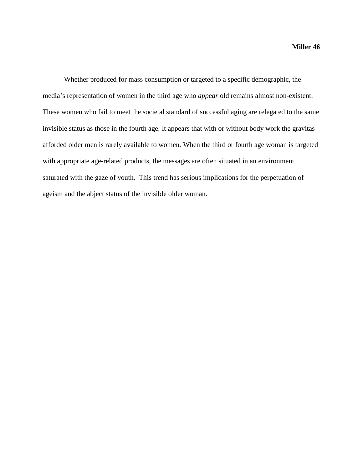Whether produced for mass consumption or targeted to a specific demographic, the media's representation of women in the third age who *appear* old remains almost non-existent. These women who fail to meet the societal standard of successful aging are relegated to the same invisible status as those in the fourth age. It appears that with or without body work the gravitas afforded older men is rarely available to women. When the third or fourth age woman is targeted with appropriate age-related products, the messages are often situated in an environment saturated with the gaze of youth. This trend has serious implications for the perpetuation of ageism and the abject status of the invisible older woman.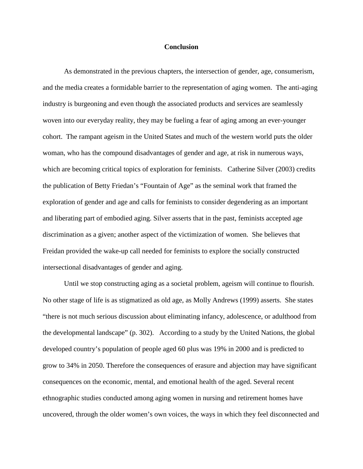#### **Conclusion**

As demonstrated in the previous chapters, the intersection of gender, age, consumerism, and the media creates a formidable barrier to the representation of aging women. The anti-aging industry is burgeoning and even though the associated products and services are seamlessly woven into our everyday reality, they may be fueling a fear of aging among an ever-younger cohort. The rampant ageism in the United States and much of the western world puts the older woman, who has the compound disadvantages of gender and age, at risk in numerous ways, which are becoming critical topics of exploration for feminists. Catherine Silver (2003) credits the publication of Betty Friedan's "Fountain of Age" as the seminal work that framed the exploration of gender and age and calls for feminists to consider degendering as an important and liberating part of embodied aging. Silver asserts that in the past, feminists accepted age discrimination as a given; another aspect of the victimization of women. She believes that Freidan provided the wake-up call needed for feminists to explore the socially constructed intersectional disadvantages of gender and aging.

Until we stop constructing aging as a societal problem, ageism will continue to flourish. No other stage of life is as stigmatized as old age, as Molly Andrews (1999) asserts. She states "there is not much serious discussion about eliminating infancy, adolescence, or adulthood from the developmental landscape" (p. 302). According to a study by the United Nations, the global developed country's population of people aged 60 plus was 19% in 2000 and is predicted to grow to 34% in 2050. Therefore the consequences of erasure and abjection may have significant consequences on the economic, mental, and emotional health of the aged. Several recent ethnographic studies conducted among aging women in nursing and retirement homes have uncovered, through the older women's own voices, the ways in which they feel disconnected and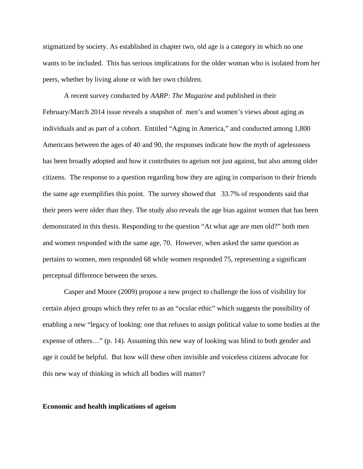stigmatized by society. As established in chapter two, old age is a category in which no one wants to be included. This has serious implications for the older woman who is isolated from her peers, whether by living alone or with her own children.

A recent survey conducted by *AARP: The Magazine* and published in their February/March 2014 issue reveals a snapshot of men's and women's views about aging as individuals and as part of a cohort. Entitled "Aging in America," and conducted among 1,800 Americans between the ages of 40 and 90, the responses indicate how the myth of agelessness has been broadly adopted and how it contributes to ageism not just against, but also among older citizens. The response to a question regarding how they are aging in comparison to their friends the same age exemplifies this point. The survey showed that 33.7% of respondents said that their peers were older than they. The study also reveals the age bias against women that has been demonstrated in this thesis. Responding to the question "At what age are men old?" both men and women responded with the same age, 70. However, when asked the same question as pertains to women, men responded 68 while women responded 75, representing a significant perceptual difference between the sexes.

Casper and Moore (2009) propose a new project to challenge the loss of visibility for certain abject groups which they refer to as an "ocular ethic" which suggests the possibility of enabling a new "legacy of looking: one that refuses to assign political value to some bodies at the expense of others…" (p. 14). Assuming this new way of looking was blind to both gender and age it could be helpful. But how will these often invisible and voiceless citizens advocate for this new way of thinking in which all bodies will matter?

#### **Economic and health implications of ageism**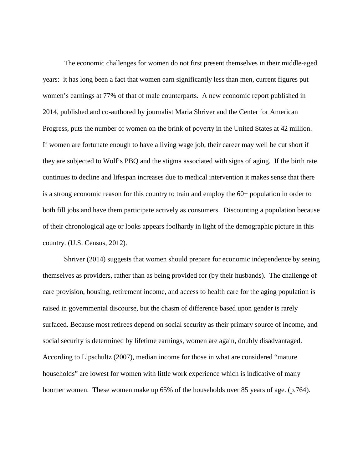The economic challenges for women do not first present themselves in their middle-aged years: it has long been a fact that women earn significantly less than men, current figures put women's earnings at 77% of that of male counterparts. A new economic report published in 2014, published and co-authored by journalist Maria Shriver and the Center for American Progress, puts the number of women on the brink of poverty in the United States at 42 million. If women are fortunate enough to have a living wage job, their career may well be cut short if they are subjected to Wolf's PBQ and the stigma associated with signs of aging. If the birth rate continues to decline and lifespan increases due to medical intervention it makes sense that there is a strong economic reason for this country to train and employ the 60+ population in order to both fill jobs and have them participate actively as consumers. Discounting a population because of their chronological age or looks appears foolhardy in light of the demographic picture in this country. (U.S. Census, 2012).

Shriver (2014) suggests that women should prepare for economic independence by seeing themselves as providers, rather than as being provided for (by their husbands). The challenge of care provision, housing, retirement income, and access to health care for the aging population is raised in governmental discourse, but the chasm of difference based upon gender is rarely surfaced. Because most retirees depend on social security as their primary source of income, and social security is determined by lifetime earnings, women are again, doubly disadvantaged. According to Lipschultz (2007), median income for those in what are considered "mature households" are lowest for women with little work experience which is indicative of many boomer women. These women make up 65% of the households over 85 years of age. (p.764).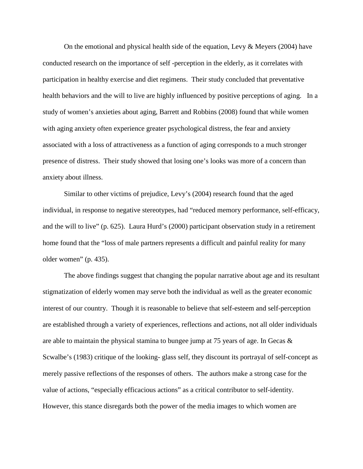On the emotional and physical health side of the equation, Levy  $\&$  Meyers (2004) have conducted research on the importance of self -perception in the elderly, as it correlates with participation in healthy exercise and diet regimens. Their study concluded that preventative health behaviors and the will to live are highly influenced by positive perceptions of aging. In a study of women's anxieties about aging, Barrett and Robbins (2008) found that while women with aging anxiety often experience greater psychological distress, the fear and anxiety associated with a loss of attractiveness as a function of aging corresponds to a much stronger presence of distress. Their study showed that losing one's looks was more of a concern than anxiety about illness.

Similar to other victims of prejudice, Levy's (2004) research found that the aged individual, in response to negative stereotypes, had "reduced memory performance, self-efficacy, and the will to live" (p. 625). Laura Hurd's (2000) participant observation study in a retirement home found that the "loss of male partners represents a difficult and painful reality for many older women" (p. 435).

The above findings suggest that changing the popular narrative about age and its resultant stigmatization of elderly women may serve both the individual as well as the greater economic interest of our country. Though it is reasonable to believe that self-esteem and self-perception are established through a variety of experiences, reflections and actions, not all older individuals are able to maintain the physical stamina to bungee jump at 75 years of age. In Gecas & Scwalbe's (1983) critique of the looking- glass self, they discount its portrayal of self-concept as merely passive reflections of the responses of others. The authors make a strong case for the value of actions, "especially efficacious actions" as a critical contributor to self-identity. However, this stance disregards both the power of the media images to which women are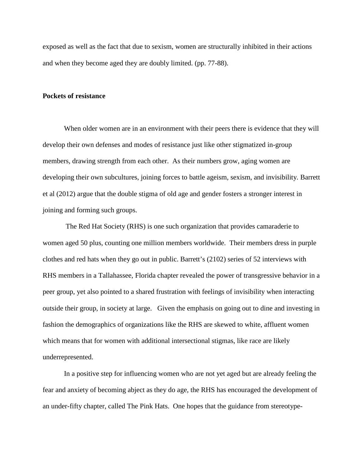exposed as well as the fact that due to sexism, women are structurally inhibited in their actions and when they become aged they are doubly limited. (pp. 77-88).

#### **Pockets of resistance**

When older women are in an environment with their peers there is evidence that they will develop their own defenses and modes of resistance just like other stigmatized in-group members, drawing strength from each other. As their numbers grow, aging women are developing their own subcultures, joining forces to battle ageism, sexism, and invisibility. Barrett et al (2012) argue that the double stigma of old age and gender fosters a stronger interest in joining and forming such groups.

The Red Hat Society (RHS) is one such organization that provides camaraderie to women aged 50 plus, counting one million members worldwide. Their members dress in purple clothes and red hats when they go out in public. Barrett's (2102) series of 52 interviews with RHS members in a Tallahassee, Florida chapter revealed the power of transgressive behavior in a peer group, yet also pointed to a shared frustration with feelings of invisibility when interacting outside their group, in society at large. Given the emphasis on going out to dine and investing in fashion the demographics of organizations like the RHS are skewed to white, affluent women which means that for women with additional intersectional stigmas, like race are likely underrepresented.

In a positive step for influencing women who are not yet aged but are already feeling the fear and anxiety of becoming abject as they do age, the RHS has encouraged the development of an under-fifty chapter, called The Pink Hats. One hopes that the guidance from stereotype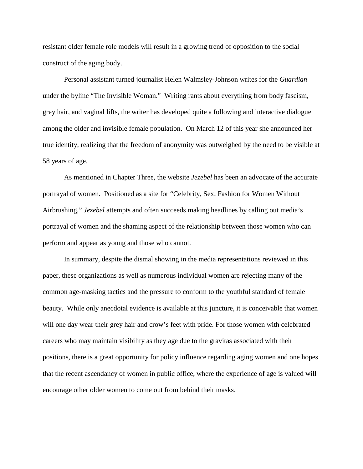resistant older female role models will result in a growing trend of opposition to the social construct of the aging body.

Personal assistant turned journalist Helen Walmsley-Johnson writes for the *Guardian* under the byline "The Invisible Woman." Writing rants about everything from body fascism, grey hair, and vaginal lifts, the writer has developed quite a following and interactive dialogue among the older and invisible female population. On March 12 of this year she announced her true identity, realizing that the freedom of anonymity was outweighed by the need to be visible at 58 years of age.

As mentioned in Chapter Three, the website *Jezebel* has been an advocate of the accurate portrayal of women. Positioned as a site for "Celebrity, Sex, Fashion for Women Without Airbrushing," *Jezebel* attempts and often succeeds making headlines by calling out media's portrayal of women and the shaming aspect of the relationship between those women who can perform and appear as young and those who cannot.

In summary, despite the dismal showing in the media representations reviewed in this paper, these organizations as well as numerous individual women are rejecting many of the common age-masking tactics and the pressure to conform to the youthful standard of female beauty. While only anecdotal evidence is available at this juncture, it is conceivable that women will one day wear their grey hair and crow's feet with pride. For those women with celebrated careers who may maintain visibility as they age due to the gravitas associated with their positions, there is a great opportunity for policy influence regarding aging women and one hopes that the recent ascendancy of women in public office, where the experience of age is valued will encourage other older women to come out from behind their masks.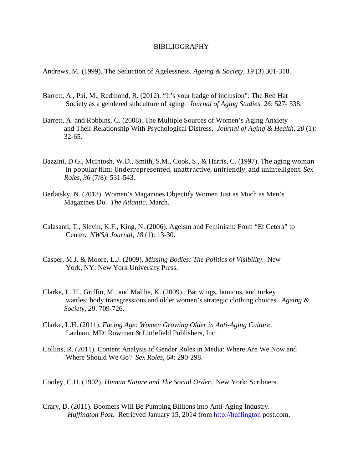#### BIBILIOGRAPHY

Andrews, M. (1999). The Seduction of Agelessness. *Ageing & Society, 19* (3) 301-318.

- Barrett, A., Pai, M., Redmond, R. (2012). "It's your badge of inclusion": The Red Hat Society as a gendered subculture of aging. *Journal of Aging Studies, 26*: 527- 538.
- Barrett, A. and Robbins, C. (2008). The Multiple Sources of Women's Aging Anxiety and Their Relationship With Psychological Distress. *Journal of Aging & Health, 20* (1): 32-65.
- Bazzini, D.G., McIntosh, W.D., Smith, S.M., Cook, S., & Harris, C. (1997). The aging woman in popular film: Underrepresented, unattractive, unfriendly, and unintelligent. *Sex Roles, 36* (7/8): 531-543.
- Berlatsky, N. (2013). Women's Magazines Objectify Women Just as Much as Men's Magazines Do. *The Atlantic*. March.
- Calasanti, T., Slevin, K.F., King, N. (2006). Ageism and Feminism: From "Et Cetera" to Center. *NWSA Journal, 18* (1): 13-30.
- Casper, M.J. & Moore, L.J. (2009). *Missing Bodies: The Politics of Visibility*. New York, NY: New York University Press.
- Clarke, L. H., Griffin, M., and Maliha, K. (2009). Bat wings, bunions, and turkey wattles: body transgressions and older women's strategic clothing choices. *Ageing & Society, 29*: 709-726.
- Clarke, L.H. (2011). *Facing Age: Women Growing Older in Anti-Aging Culture*. Lanham, MD: Rowman & Littlefield Publishers, Inc.
- Collins, R. (2011). Content Analysis of Gender Roles in Media: Where Are We Now and Where Should We Go? *Sex Roles, 64*: 290-298.

Cooley, C.H. (1902). *Human Nature and The Social Order*. New York: Scribners.

Crary, D. (2011). Boomers Will Be Pumping Billions into Anti-Aging Industry. *Huffington Post*. Retrieved January 15, 2014 from [http://huffington](http://huffington/) post.com.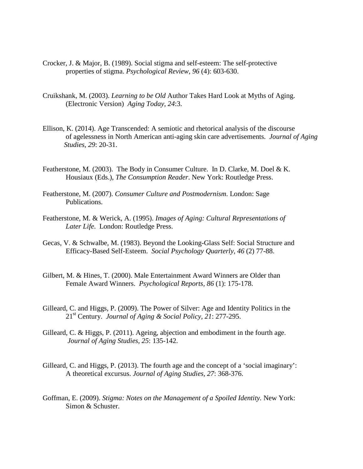- Crocker, J. & Major, B. (1989). Social stigma and self-esteem: The self-protective properties of stigma. *Psychological Review, 96* (4): 603-630.
- Cruikshank, M. (2003). *Learning to be Old* Author Takes Hard Look at Myths of Aging. (Electronic Version) *Aging Today, 24*:3.
- Ellison, K. (2014). Age Transcended: A semiotic and rhetorical analysis of the discourse of agelessness in North American anti-aging skin care advertisements. *Journal of Aging Studies, 29*: 20-31.
- Featherstone, M. (2003). The Body in Consumer Culture. In D. Clarke, M. Doel & K. Housiaux (Eds.), *The Consumption Reader*. New York: Routledge Press.
- Featherstone, M. (2007). *Consumer Culture and Postmodernism*. London: Sage Publications.
- Featherstone, M. & Werick, A. (1995). *Images of Aging: Cultural Representations of Later Life*. London: Routledge Press.
- Gecas, V. & Schwalbe, M. (1983). Beyond the Looking-Glass Self: Social Structure and Efficacy-Based Self-Esteem. *Social Psychology Quarterly, 46* (2) 77-88.
- Gilbert, M. & Hines, T. (2000). Male Entertainment Award Winners are Older than Female Award Winners. *Psychological Reports, 86* (1): 175-178.
- Gilleard, C. and Higgs, P. (2009). The Power of Silver: Age and Identity Politics in the 21st Century. *Journal of Aging & Social Policy, 21*: 277-295.
- Gilleard, C. & Higgs, P. (2011). Ageing, abjection and embodiment in the fourth age. *Journal of Aging Studies, 25*: 135-142.
- Gilleard, C. and Higgs, P. (2013). The fourth age and the concept of a 'social imaginary': A theoretical excursus. *Journal of Aging Studies, 27*: 368-376.
- Goffman, E. (2009). *Stigma: Notes on the Management of a Spoiled Identity*. New York: Simon & Schuster.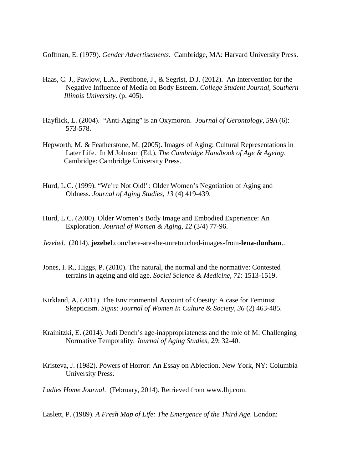Goffman, E. (1979). *Gender Advertisements*. Cambridge, MA: Harvard University Press.

- Haas, C. J., Pawlow, L.A., Pettibone, J., & Segrist, D.J. (2012). An Intervention for the Negative Influence of Media on Body Esteem. *College Student Journal, Southern Illinois University*. (p. 405).
- Hayflick, L. (2004). "Anti-Aging" is an Oxymoron. *Journal of Gerontology, 59A* (6): 573-578.
- Hepworth, M. & Featherstone, M. (2005). Images of Aging: Cultural Representations in Later Life. In M Johnson (Ed.), *The Cambridge Handbook of Age & Ageing*. Cambridge: Cambridge University Press.
- Hurd, L.C. (1999). "We're Not Old!": Older Women's Negotiation of Aging and Oldness. *Journal of Aging Studies, 13* (4) 419-439.
- Hurd, L.C. (2000). Older Women's Body Image and Embodied Experience: An Exploration. *Journal of Women & Aging, 12* (3/4) 77-96.
- *Jezebel*. (2014). **jezebel**.com/here-are-the-unretouched-images-from-**lena**-**dunham**..
- Jones, I. R., Higgs, P. (2010). The natural, the normal and the normative: Contested terrains in ageing and old age. *Social Science & Medicine, 71*: 1513-1519.
- Kirkland, A. (2011). The Environmental Account of Obesity: A case for Feminist Skepticism. *Signs: Journal of Women In Culture & Society, 36* (2) 463-485.
- Krainitzki, E. (2014). Judi Dench's age-inappropriateness and the role of M: Challenging Normative Temporality. *Journal of Aging Studies, 29*: 32-40.
- Kristeva, J. (1982). Powers of Horror: An Essay on Abjection. New York, NY: Columbia University Press.

*Ladies Home Journal*. (February, 2014). Retrieved from www.lhj.com.

Laslett, P. (1989). *A Fresh Map of Life: The Emergence of the Third Age*. London: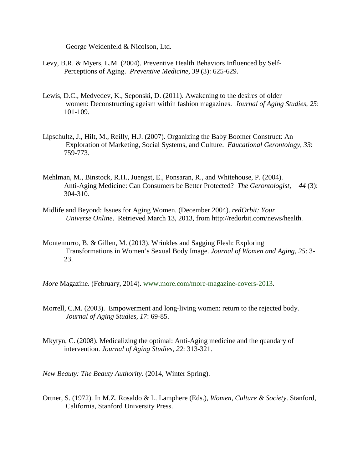George Weidenfeld & Nicolson, Ltd.

- Levy, B.R. & Myers, L.M. (2004). Preventive Health Behaviors Influenced by Self-Perceptions of Aging. *Preventive Medicine, 39* (3): 625-629.
- Lewis, D.C., Medvedev, K., Seponski, D. (2011). Awakening to the desires of older women: Deconstructing ageism within fashion magazines. *Journal of Aging Studies, 25*: 101-109.
- Lipschultz, J., Hilt, M., Reilly, H.J. (2007). Organizing the Baby Boomer Construct: An Exploration of Marketing, Social Systems, and Culture. *Educational Gerontology, 33*: 759-773.
- Mehlman, M., Binstock, R.H., Juengst, E., Ponsaran, R., and Whitehouse, P. (2004). Anti-Aging Medicine: Can Consumers be Better Protected? *The Gerontologist, 44* (3): 304-310.
- Midlife and Beyond: Issues for Aging Women. (December 2004). *redOrbit: Your Universe Online*. Retrieved March 13, 2013, from http://redorbit.com/news/health.
- Montemurro, B. & Gillen, M. (2013). Wrinkles and Sagging Flesh: Exploring Transformations in Women's Sexual Body Image. *Journal of Women and Aging, 25*: 3- 23.

*More* Magazine. (February, 2014). www.more.com/more-magazine-covers-2013.

- Morrell, C.M. (2003). Empowerment and long-living women: return to the rejected body. *Journal of Aging Studies, 17*: 69-85.
- Mkytyn, C. (2008). Medicalizing the optimal: Anti-Aging medicine and the quandary of intervention. *Journal of Aging Studies, 22*: 313-321.

*New Beauty: The Beauty Authority*. (2014, Winter Spring).

Ortner, S. (1972). In M.Z. Rosaldo & L. Lamphere (Eds.), *Women, Culture & Society*. Stanford, California, Stanford University Press.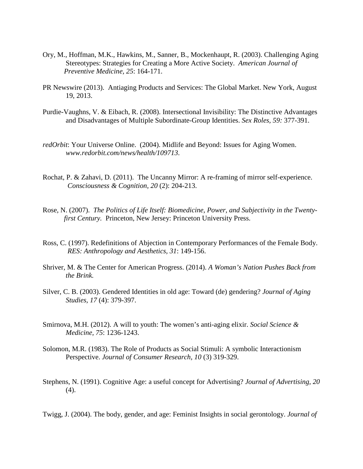- Ory, M., Hoffman, M.K., Hawkins, M., Sanner, B., Mockenhaupt, R. (2003). Challenging Aging Stereotypes: Strategies for Creating a More Active Society. *American Journal of Preventive Medicine, 25*: 164-171.
- PR Newswire (2013). Antiaging Products and Services: The Global Market. New York, August 19, 2013.
- Purdie-Vaughns, V. & Eibach, R. (2008). Intersectional Invisibility: The Distinctive Advantages and Disadvantages of Multiple Subordinate-Group Identities. *Sex Roles, 59:* 377-391.
- *redOrbit*: Your Universe Online. (2004). Midlife and Beyond: Issues for Aging Women. *www.redorbit.com/news/health/109713*.
- Rochat, P. & Zahavi, D. (2011). The Uncanny Mirror: A re-framing of mirror self-experience. *Consciousness & Cognition, 20* (2): 204-213.
- Rose, N. (2007). *The Politics of Life Itself: Biomedicine, Power, and Subjectivity in the Twentyfirst Century.* Princeton, New Jersey: Princeton University Press.
- Ross, C. (1997). Redefinitions of Abjection in Contemporary Performances of the Female Body. *RES: Anthropology and Aesthetics, 31*: 149-156.
- Shriver, M. & The Center for American Progress. (2014). *A Woman's Nation Pushes Back from the Brink.*
- Silver, C. B. (2003). Gendered Identities in old age: Toward (de) gendering? *Journal of Aging Studies, 17* (4): 379-397.
- Smirnova, M.H. (2012). A will to youth: The women's anti-aging elixir. *Social Science & Medicine, 75*: 1236-1243.
- Solomon, M.R. (1983). The Role of Products as Social Stimuli: A symbolic Interactionism Perspective. *Journal of Consumer Research, 10* (3) 319-329.
- Stephens, N. (1991). Cognitive Age: a useful concept for Advertising? *Journal of Advertising, 20* (4).
- Twigg, J. (2004). The body, gender, and age: Feminist Insights in social gerontology. *Journal of*